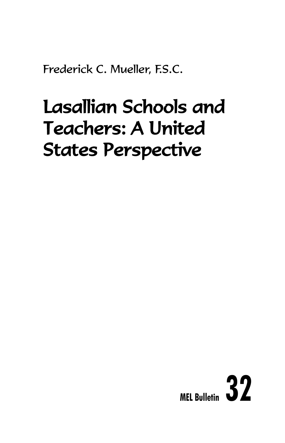Frederick C. Mueller, F.S.C.

# Lasallian Schools and Teachers: A United States Perspective

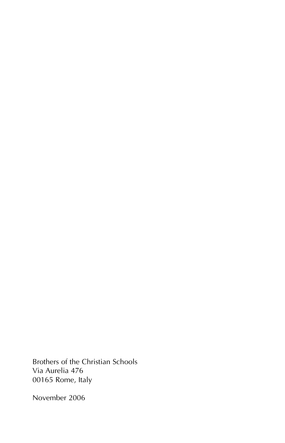Brothers of the Christian Schools Via Aurelia 476 00165 Rome, Italy

November 2006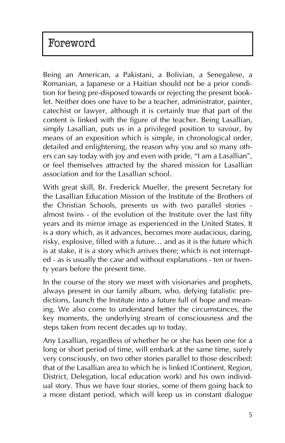# Foreword

Being an American, a Pakistani, a Bolivian, a Senegalese, a Romanian, a Japanese or a Haitian should not be a prior condition for being pre-disposed towards or rejecting the present booklet. Neither does one have to be a teacher, administrator, painter, catechist or lawyer, although it is certainly true that part of the content is linked with the figure of the teacher. Being Lasallian, simply Lasallian, puts us in a privileged position to savour, by means of an exposition which is simple, in chronological order, detailed and enlightening, the reason why you and so many others can say today with joy and even with pride, "I am a Lasallian", or feel themselves attracted by the shared mission for Lasallian association and for the Lasallian school.

With great skill, Br. Frederick Mueller, the present Secretary for the Lasallian Education Mission of the Institute of the Brothers of the Christian Schools, presents us with two parallel stories almost twins - of the evolution of the Institute over the last fifty years and its mirror image as experienced in the United States. It is a story which, as it advances, becomes more audacious, daring, risky, explosive, filled with a future… and as it is the future which is at stake, it is a story which arrives there; which is not interrupted - as is usually the case and without explanations - ten or twenty years before the present time.

In the course of the story we meet with visionaries and prophets, always present in our family album, who, defying fatalistic predictions, launch the Institute into a future full of hope and meaning. We also come to understand better the circumstances, the key moments, the underlying stream of consciousness and the steps taken from recent decades up to today.

Any Lasallian, regardless of whether he or she has been one for a long or short period of time, will embark at the same time, surely very consciously, on two other stories parallel to those described: that of the Lasallian area to which he is linked (Continent, Region, District, Delegation, local education work) and his own individual story. Thus we have four stories, some of them going back to a more distant period, which will keep us in constant dialogue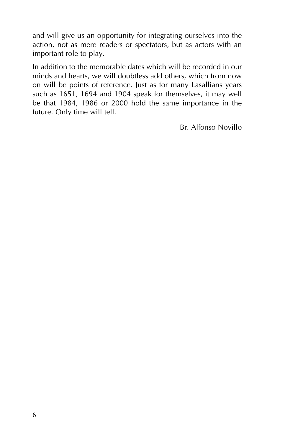and will give us an opportunity for integrating ourselves into the action, not as mere readers or spectators, but as actors with an important role to play.

In addition to the memorable dates which will be recorded in our minds and hearts, we will doubtless add others, which from now on will be points of reference. Just as for many Lasallians years such as 1651, 1694 and 1904 speak for themselves, it may well be that 1984, 1986 or 2000 hold the same importance in the future. Only time will tell.

Br. Alfonso Novillo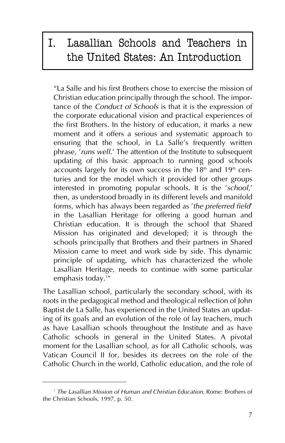# I. Lasallian Schools and Teachers in the United States: An Introduction

"La Salle and his first Brothers chose to exercise the mission of Christian education principally through the school. The importance of the *Conduct of Schools* is that it is the expression of the corporate educational vision and practical experiences of the first Brothers. In the history of education, it marks a new moment and it offers a serious and systematic approach to ensuring that the school, in La Salle's frequently written phrase, '*runs well*.' The attention of the Institute to subsequent updating of this basic approach to running good schools accounts largely for its own success in the  $18<sup>th</sup>$  and  $19<sup>th</sup>$  centuries and for the model which it provided for other groups interested in promoting popular schools. It is the '*school*,' then, as understood broadly in its different levels and manifold forms, which has always been regarded as '*the preferred field*' in the Lasallian Heritage for offering a good human and Christian education. It is through the school that Shared Mission has originated and developed; it is through the schools principally that Brothers and their partners in Shared Mission came to meet and work side by side. This dynamic principle of updating, which has characterized the whole Lasallian Heritage, needs to continue with some particular emphasis today.'″

The Lasallian school, particularly the secondary school, with its roots in the pedagogical method and theological reflection of John Baptist de La Salle, has experienced in the United States an updating of its goals and an evolution of the role of lay teachers, much as have Lasallian schools throughout the Institute and as have Catholic schools in general in the United States. A pivotal moment for the Lasallian school, as for all Catholic schools, was Vatican Council II for, besides its decrees on the role of the Catholic Church in the world, Catholic education, and the role of

<sup>1</sup> *The Lasallian Mission of Human and Christian Education*, Rome: Brothers of the Christian Schools, 1997, p. 50.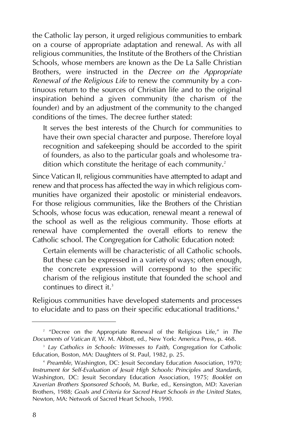the Catholic lay person, it urged religious communities to embark on a course of appropriate adaptation and renewal. As with all religious communities, the Institute of the Brothers of the Christian Schools, whose members are known as the De La Salle Christian Brothers, were instructed in the *Decree on the Appropriate Renewal of the Religious Life* to renew the community by a continuous return to the sources of Christian life and to the original inspiration behind a given community (the charism of the founder) and by an adjustment of the community to the changed conditions of the times. The decree further stated:

It serves the best interests of the Church for communities to have their own special character and purpose. Therefore loyal recognition and safekeeping should be accorded to the spirit of founders, as also to the particular goals and wholesome tradition which constitute the heritage of each community.<sup>2</sup>

Since Vatican II, religious communities have attempted to adapt and renew and that process has affected the way in which religious communities have organized their apostolic or ministerial endeavors. For those religious communities, like the Brothers of the Christian Schools, whose focus was education, renewal meant a renewal of the school as well as the religious community. Those efforts at renewal have complemented the overall efforts to renew the Catholic school. The Congregation for Catholic Education noted:

Certain elements will be characteristic of all Catholic schools. But these can be expressed in a variety of ways; often enough, the concrete expression will correspond to the specific charism of the religious institute that founded the school and continues to direct it.<sup>3</sup>

Religious communities have developed statements and processes to elucidate and to pass on their specific educational traditions.<sup>4</sup>

<sup>2</sup> "Decree on the Appropriate Renewal of the Religious Life," in *The Documents of Vatican II*, W. M. Abbott, ed., New York: America Press, p. 468.

<sup>&</sup>lt;sup>3</sup> Lay Catholics in Schools: Witnesses to Faith, Congregation for Catholic Education, Boston, MA: Daughters of St. Paul, 1982, p. 25.

<sup>4</sup> *Preamble*, Washington, DC: Jesuit Secondary Education Association, 1970; *Instrument for Self-Evaluation of Jesuit High Schools: Principles and Standards*, Washington, DC: Jesuit Secondary Education Association, 1975; *Booklet on Xaverian Brothers Sponsored Schools*, M. Burke, ed., Kensington, MD: Xaverian Brothers, 1988; *Goals and Criteria for Sacred Heart Schools in the United States*, Newton, MA: Network of Sacred Heart Schools, 1990.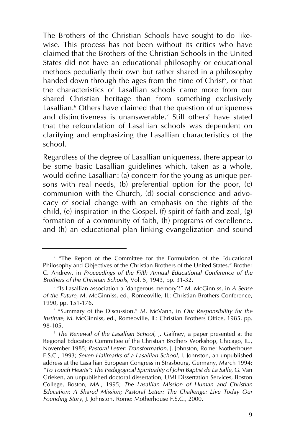The Brothers of the Christian Schools have sought to do likewise. This process has not been without its critics who have claimed that the Brothers of the Christian Schools in the United States did not have an educational philosophy or educational methods peculiarly their own but rather shared in a philosophy handed down through the ages from the time of Christ<sup>s</sup>, or that the characteristics of Lasallian schools came more from our shared Christian heritage than from something exclusively Lasallian.<sup>6</sup> Others have claimed that the question of uniqueness and distinctiveness is unanswerable.<sup>7</sup> Still others<sup>8</sup> have stated that the refoundation of Lasallian schools was dependent on clarifying and emphasizing the Lasallian characteristics of the school.

Regardless of the degree of Lasallian uniqueness, there appear to be some basic Lasallian guidelines which, taken as a whole, would define Lasallian: (a) concern for the young as unique persons with real needs, (b) preferential option for the poor, (c) communion with the Church, (d) social conscience and advocacy of social change with an emphasis on the rights of the child, (e) inspiration in the Gospel, (f) spirit of faith and zeal, (g) formation of a community of faith, (h) programs of excellence, and (h) an educational plan linking evangelization and sound

<sup>&</sup>lt;sup>5</sup> "The Report of the Committee for the Formulation of the Educational Philosophy and Objectives of the Christian Brothers of the United States," Brother C. Andrew, in *Proceedings of the Fifth Annual Educational Conference of the Brothers of the Christian Schools*, Vol. 5, 1943, pp. 31-32.

<sup>6</sup> "Is Lasallian association a 'dangerous memory'?" M. McGinniss, in *A Sense of the Future*, M. McGinniss, ed., Romeoville, IL: Christian Brothers Conference, 1990, pp. 151-176.

<sup>7</sup> "Summary of the Discussion," M. McVann, in *Our Responsibility for the Institute*, M. McGinniss, ed., Romeoville, IL: Christian Brothers Office, 1985, pp. 98-105.

<sup>&</sup>lt;sup>8</sup> The Renewal of the Lasallian School, J. Gaffney, a paper presented at the Regional Education Committee of the Christian Brothers Workshop, Chicago, IL., November 1985; *Pastoral Letter: Transformation*, J. Johnston, Rome: Motherhouse F.S.C., 1993; *Seven Hallmarks of a Lasallian School*, J. Johnston, an unpublished address at the Lasallian European Congress in Strasbourg, Germany, March 1994; *"To Touch Hearts": The Pedagogical Spirituality of John Baptist de La Salle*, G. Van Grieken, an unpublished doctoral dissertation, UMI Dissertation Services, Boston College, Boston, MA., 1995; *The Lasallian Mission of Human and Christian Education: A Shared Mission; Pastoral Letter: The Challenge: Live Today Our Founding Story*, J. Johnston, Rome: Motherhouse F.S.C., 2000.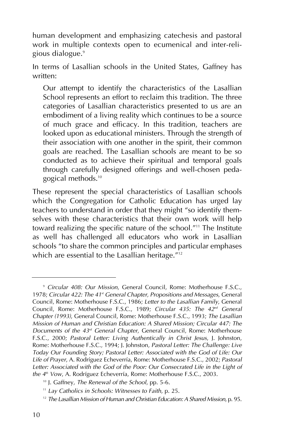human development and emphasizing catechesis and pastoral work in multiple contexts open to ecumenical and inter-religious dialogue.<sup>9</sup>

In terms of Lasallian schools in the United States, Gaffney has written:

Our attempt to identify the characteristics of the Lasallian School represents an effort to reclaim this tradition. The three categories of Lasallian characteristics presented to us are an embodiment of a living reality which continues to be a source of much grace and efficacy. In this tradition, teachers are looked upon as educational ministers. Through the strength of their association with one another in the spirit, their common goals are reached. The Lasallian schools are meant to be so conducted as to achieve their spiritual and temporal goals through carefully designed offerings and well-chosen pedagogical methods.<sup>10</sup>

These represent the special characteristics of Lasallian schools which the Congregation for Catholic Education has urged lay teachers to understand in order that they might "so identify themselves with these characteristics that their own work will help toward realizing the specific nature of the school."<sup>11</sup> The Institute as well has challenged all educators who work in Lasallian schools "to share the common principles and particular emphases which are essential to the Lasallian heritage."<sup>12</sup>

<sup>9</sup> *Circular 408: Our Mission*, General Council, Rome: Motherhouse F.S.C., 1978; *Circular 422: The 41st General Chapter, Propositions and Messages*, General Council, Rome: Motherhouse F.S.C., 1986; *Letter to the Lasallian Family*, General Council, Rome: Motherhouse F.S.C., 1989; *Circular 435: The 42nd General Chapter (1993)*, General Council, Rome: Motherhouse F.S.C., 1993; *The Lasallian Mission of Human and Christian Education: A Shared Mission; Circular 447: The Documents of the 43rd General Chapter*, General Council, Rome: Motherhouse F.S.C., 2000; *Pastoral Letter: Living Authentically in Christ Jesus*, J. Johnston, Rome: Motherhouse F.S.C., 1994; J. Johnston, *Pastoral Letter: The Challenge: Live Today Our Founding Story; Pastoral Letter: Associated with the God of Life: Our Life of Prayer*, A. Rodríguez Echeverría, Rome: Motherhouse F.S.C., 2002; *Pastoral Letter: Associated with the God of the Poor: Our Consecrated Life in the Light of the 4th Vow*, A. Rodríguez Echeverría, Rome: Motherhouse F.S.C., 2003.

<sup>10</sup> J. Gaffney, *The Renewal of the School*, pp. 5-6.

<sup>11</sup> *Lay Catholics in Schools: Witnesses to Faith*, p. 25.

<sup>12</sup> *The Lasallian Mission of Human and Christian Education: A Shared Mission*, p. 95.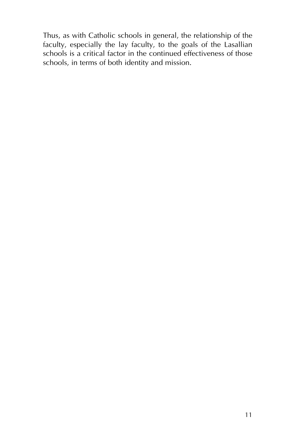Thus, as with Catholic schools in general, the relationship of the faculty, especially the lay faculty, to the goals of the Lasallian schools is a critical factor in the continued effectiveness of those schools, in terms of both identity and mission.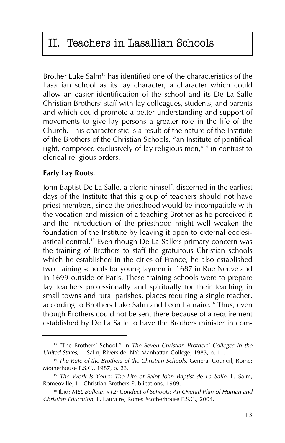# II. Teachers in Lasallian Schools

Brother Luke Salm<sup>13</sup> has identified one of the characteristics of the Lasallian school as its lay character, a character which could allow an easier identification of the school and its De La Salle Christian Brothers' staff with lay colleagues, students, and parents and which could promote a better understanding and support of movements to give lay persons a greater role in the life of the Church. This characteristic is a result of the nature of the Institute of the Brothers of the Christian Schools, "an Institute of pontifical right, composed exclusively of lay religious men,"14 in contrast to clerical religious orders.

### **Early Lay Roots.**

John Baptist De La Salle, a cleric himself, discerned in the earliest days of the Institute that this group of teachers should not have priest members, since the priesthood would be incompatible with the vocation and mission of a teaching Brother as he perceived it and the introduction of the priesthood might well weaken the foundation of the Institute by leaving it open to external ecclesiastical control.<sup>15</sup> Even though De La Salle's primary concern was the training of Brothers to staff the gratuitous Christian schools which he established in the cities of France, he also established two training schools for young laymen in 1687 in Rue Neuve and in 1699 outside of Paris. These training schools were to prepare lay teachers professionally and spiritually for their teaching in small towns and rural parishes, places requiring a single teacher, according to Brothers Luke Salm and Leon Lauraire.<sup>16</sup> Thus, even though Brothers could not be sent there because of a requirement established by De La Salle to have the Brothers minister in com-

<sup>&</sup>lt;sup>13</sup> "The Brothers' School," in *The Seven Christian Brothers' Colleges in the United States*, L. Salm, Riverside, NY: Manhattan College, 1983, p. 11.

<sup>14</sup> *The Rule of the Brothers of the Christian Schools*, General Council, Rome: Motherhouse F.S.C., 1987, p. 23.

<sup>&</sup>lt;sup>15</sup> The Work Is Yours: The Life of Saint John Baptist de La Salle, L. Salm, Romeoville, IL: Christian Brothers Publications, 1989.

<sup>16</sup> Ibid; *MEL Bulletin #12: Conduct of Schools: An Overall Plan of Human and Christian Education*, L. Lauraire, Rome: Motherhouse F.S.C., 2004.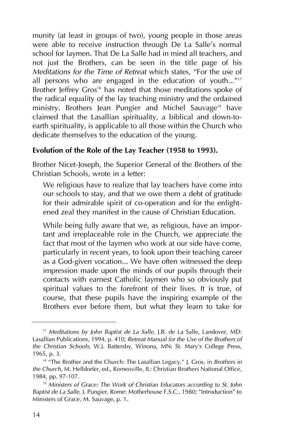munity (at least in groups of two), young people in those areas were able to receive instruction through De La Salle's normal school for laymen. That De La Salle had in mind all teachers, and not just the Brothers, can be seen in the title page of his *Meditations for the Time of Retreat* which states, "For the use of all persons who are engaged in the education of youth... $\frac{1}{17}$ Brother Jeffrey Gros<sup>18</sup> has noted that those meditations spoke of the radical equality of the lay teaching ministry and the ordained ministry. Brothers Jean Pungier and Michel Sauvage<sup>19</sup> have claimed that the Lasallian spirituality, a biblical and down-toearth spirituality, is applicable to all those within the Church who dedicate themselves to the education of the young.

#### **Evolution of the Role of the Lay Teacher (1958 to 1993).**

Brother Nicet-Joseph, the Superior General of the Brothers of the Christian Schools, wrote in a letter:

We religious have to realize that lay teachers have come into our schools to stay, and that we owe them a debt of gratitude for their admirable spirit of co-operation and for the enlightened zeal they manifest in the cause of Christian Education.

While being fully aware that we, as religious, have an important and irreplaceable role in the Church, we appreciate the fact that most of the laymen who work at our side have come, particularly in recent years, to look upon their teaching career as a God-given vocation... We have often witnessed the deep impression made upon the minds of our pupils through their contacts with earnest Catholic laymen who so obviously put spiritual values to the forefront of their lives. It is true, of course, that these pupils have the inspiring example of the Brothers ever before them, but what they learn to take for

<sup>&</sup>lt;sup>17</sup> Meditations by John Baptist de La Salle, J.B. de La Salle, Landover, MD: Lasallian Publications, 1994, p. 410; *Retreat Manual for the Use of the Brothers of the Christian Schools*, W.J. Battersby, Winona, MN: St. Mary's College Press, 1965, p. 3.

<sup>&</sup>lt;sup>18</sup> "The Brother and the Church: The Lasallian Legacy," J. Gros, in *Brothers in the Church*, M. Helldorfer, ed., Romeoville, IL: Christian Brothers National Office, 1984, pp. 97-107.

<sup>19</sup> *Ministers of Grace: The Work of Christian Educators according to St. John Baptist de La Salle*, J. Pungier, Rome: Motherhouse F.S.C., 1980; "Introduction" to Ministers of Grace, M. Sauvage, p. 1.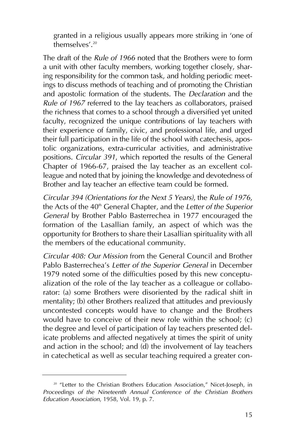granted in a religious usually appears more striking in 'one of themselves'.20

The draft of the *Rule of 1966* noted that the Brothers were to form a unit with other faculty members, working together closely, sharing responsibility for the common task, and holding periodic meetings to discuss methods of teaching and of promoting the Christian and apostolic formation of the students. The *Declaration* and the *Rule of 1967* referred to the lay teachers as collaborators, praised the richness that comes to a school through a diversified yet united faculty, recognized the unique contributions of lay teachers with their experience of family, civic, and professional life, and urged their full participation in the life of the school with catechesis, apostolic organizations, extra-curricular activities, and administrative positions. *Circular 391*, which reported the results of the General Chapter of 1966-67, praised the lay teacher as an excellent colleague and noted that by joining the knowledge and devotedness of Brother and lay teacher an effective team could be formed.

*Circular 394 (Orientations for the Next 5 Years)*, the *Rule of 1976*, the Acts of the 40<sup>th</sup> General Chapter, and the *Letter of the Superior General* by Brother Pablo Basterrechea in 1977 encouraged the formation of the Lasallian family, an aspect of which was the opportunity for Brothers to share their Lasallian spirituality with all the members of the educational community.

*Circular 408: Our Mission* from the General Council and Brother Pablo Basterrechea's *Letter of the Superior General* in December 1979 noted some of the difficulties posed by this new conceptualization of the role of the lay teacher as a colleague or collaborator: (a) some Brothers were disoriented by the radical shift in mentality; (b) other Brothers realized that attitudes and previously uncontested concepts would have to change and the Brothers would have to conceive of their new role within the school; (c) the degree and level of participation of lay teachers presented delicate problems and affected negatively at times the spirit of unity and action in the school; and (d) the involvement of lay teachers in catechetical as well as secular teaching required a greater con-

<sup>&</sup>lt;sup>20</sup> "Letter to the Christian Brothers Education Association," Nicet-Joseph, in *Proceedings of the Nineteenth Annual Conference of the Christian Brothers Education Association*, 1958, Vol. 19, p. 7.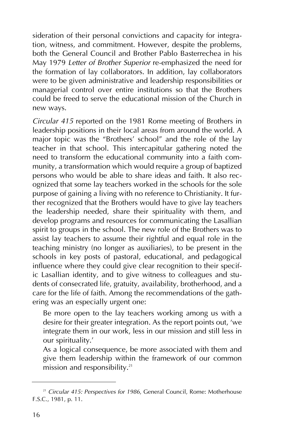sideration of their personal convictions and capacity for integration, witness, and commitment. However, despite the problems, both the General Council and Brother Pablo Basterrechea in his May 1979 *Letter of Brother Superior* re-emphasized the need for the formation of lay collaborators. In addition, lay collaborators were to be given administrative and leadership responsibilities or managerial control over entire institutions so that the Brothers could be freed to serve the educational mission of the Church in new ways.

*Circular 415* reported on the 1981 Rome meeting of Brothers in leadership positions in their local areas from around the world. A major topic was the "Brothers' school" and the role of the lay teacher in that school. This intercapitular gathering noted the need to transform the educational community into a faith community, a transformation which would require a group of baptized persons who would be able to share ideas and faith. It also recognized that some lay teachers worked in the schools for the sole purpose of gaining a living with no reference to Christianity. It further recognized that the Brothers would have to give lay teachers the leadership needed, share their spirituality with them, and develop programs and resources for communicating the Lasallian spirit to groups in the school. The new role of the Brothers was to assist lay teachers to assume their rightful and equal role in the teaching ministry (no longer as auxiliaries), to be present in the schools in key posts of pastoral, educational, and pedagogical influence where they could give clear recognition to their specific Lasallian identity, and to give witness to colleagues and students of consecrated life, gratuity, availability, brotherhood, and a care for the life of faith. Among the recommendations of the gathering was an especially urgent one:

Be more open to the lay teachers working among us with a desire for their greater integration. As the report points out, 'we integrate them in our work, less in our mission and still less in our spirituality.'

As a logical consequence, be more associated with them and give them leadership within the framework of our common mission and responsibility.<sup>21</sup>

<sup>&</sup>lt;sup>21</sup> Circular 415: Perspectives for 1986, General Council, Rome: Motherhouse F.S.C., 1981, p. 11.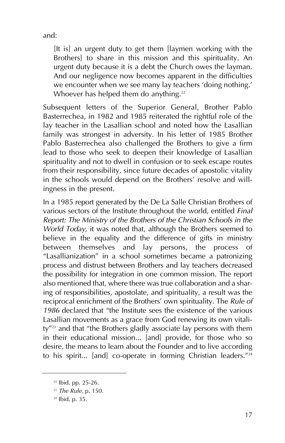and:

[It is] an urgent duty to get them [laymen working with the Brothers] to share in this mission and this spirituality. An urgent duty because it is a debt the Church owes the layman. And our negligence now becomes apparent in the difficulties we encounter when we see many lay teachers 'doing nothing.' Whoever has helped them do anything.<sup>22</sup>

Subsequent letters of the Superior General, Brother Pablo Basterrechea, in 1982 and 1985 reiterated the rightful role of the lay teacher in the Lasallian school and noted how the Lasallian family was strongest in adversity. In his letter of 1985 Brother Pablo Basterrechea also challenged the Brothers to give a firm lead to those who seek to deepen their knowledge of Lasallian spirituality and not to dwell in confusion or to seek escape routes from their responsibility, since future decades of apostolic vitality in the schools would depend on the Brothers' resolve and willingness in the present.

In a 1985 report generated by the De La Salle Christian Brothers of various sectors of the Institute throughout the world, entitled *Final Report: The Ministry of the Brothers of the Christian Schools in the World Today*, it was noted that, although the Brothers seemed to believe in the equality and the difference of gifts in ministry between themselves and lay persons, the process of "Lasallianization" in a school sometimes became a patronizing process and distrust between Brothers and lay teachers decreased the possibility for integration in one common mission. The report also mentioned that, where there was true collaboration and a sharing of responsibilities, apostolate, and spirituality, a result was the reciprocal enrichment of the Brothers' own spirituality. The *Rule of 1986* declared that "the Institute sees the existence of the various Lasallian movements as a grace from God renewing its own vitality"23 and that "the Brothers gladly associate lay persons with them in their educational mission... [and] provide, for those who so desire, the means to learn about the Founder and to live according to his spirit... [and] co-operate in forming Christian leaders. $724$ 

<sup>22</sup> Ibid. pp. 25-26.

<sup>23</sup> *The Rule*, p. 150.

<sup>24</sup> Ibid. p. 35.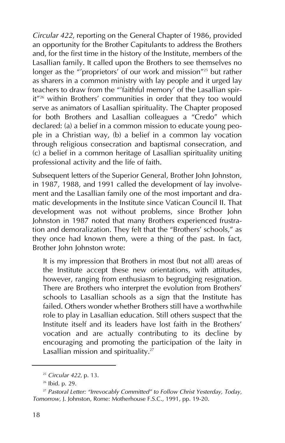*Circular 422*, reporting on the General Chapter of 1986, provided an opportunity for the Brother Capitulants to address the Brothers and, for the first time in the history of the Institute, members of the Lasallian family. It called upon the Brothers to see themselves no longer as the "'proprietors' of our work and mission"<sup>25</sup> but rather as sharers in a common ministry with lay people and it urged lay teachers to draw from the "'faithful memory' of the Lasallian spirit"<sup>26</sup> within Brothers' communities in order that they too would serve as animators of Lasallian spirituality. The Chapter proposed for both Brothers and Lasallian colleagues a "Credo" which declared: (a) a belief in a common mission to educate young people in a Christian way, (b) a belief in a common lay vocation through religious consecration and baptismal consecration, and (c) a belief in a common heritage of Lasallian spirituality uniting professional activity and the life of faith.

Subsequent letters of the Superior General, Brother John Johnston, in 1987, 1988, and 1991 called the development of lay involvement and the Lasallian family one of the most important and dramatic developments in the Institute since Vatican Council II. That development was not without problems, since Brother John Johnston in 1987 noted that many Brothers experienced frustration and demoralization. They felt that the "Brothers' schools," as they once had known them, were a thing of the past. In fact, Brother John Johnston wrote:

It is my impression that Brothers in most (but not all) areas of the Institute accept these new orientations, with attitudes, however, ranging from enthusiasm to begrudging resignation. There are Brothers who interpret the evolution from Brothers' schools to Lasallian schools as a sign that the Institute has failed. Others wonder whether Brothers still have a worthwhile role to play in Lasallian education. Still others suspect that the Institute itself and its leaders have lost faith in the Brothers' vocation and are actually contributing to its decline by encouraging and promoting the participation of the laity in Lasallian mission and spirituality.<sup>27</sup>

<sup>25</sup> *Circular 422*, p. 13.

<sup>26</sup> Ibid. p. 29.

<sup>27</sup> *Pastoral Letter: "Irrevocably Committed" to Follow Christ Yesterday, Today, Tomorrow*, J. Johnston, Rome: Motherhouse F.S.C., 1991, pp. 19-20.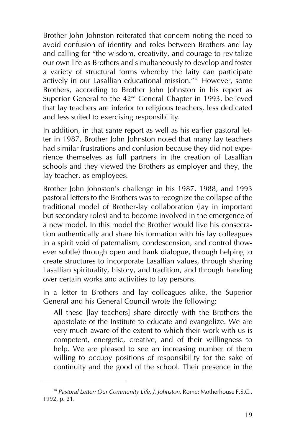Brother John Johnston reiterated that concern noting the need to avoid confusion of identity and roles between Brothers and lay and calling for "the wisdom, creativity, and courage to revitalize our own life as Brothers and simultaneously to develop and foster a variety of structural forms whereby the laity can participate actively in our Lasallian educational mission."<sup>28</sup> However, some Brothers, according to Brother John Johnston in his report as Superior General to the 42<sup>nd</sup> General Chapter in 1993, believed that lay teachers are inferior to religious teachers, less dedicated and less suited to exercising responsibility.

In addition, in that same report as well as his earlier pastoral letter in 1987, Brother John Johnston noted that many lay teachers had similar frustrations and confusion because they did not experience themselves as full partners in the creation of Lasallian schools and they viewed the Brothers as employer and they, the lay teacher, as employees.

Brother John Johnston's challenge in his 1987, 1988, and 1993 pastoral letters to the Brothers was to recognize the collapse of the traditional model of Brother-lay collaboration (lay in important but secondary roles) and to become involved in the emergence of a new model. In this model the Brother would live his consecration authentically and share his formation with his lay colleagues in a spirit void of paternalism, condescension, and control (however subtle) through open and frank dialogue, through helping to create structures to incorporate Lasallian values, through sharing Lasallian spirituality, history, and tradition, and through handing over certain works and activities to lay persons.

In a letter to Brothers and lay colleagues alike, the Superior General and his General Council wrote the following:

All these [lay teachers] share directly with the Brothers the apostolate of the Institute to educate and evangelize. We are very much aware of the extent to which their work with us is competent, energetic, creative, and of their willingness to help. We are pleased to see an increasing number of them willing to occupy positions of responsibility for the sake of continuity and the good of the school. Their presence in the

<sup>28</sup> *Pastoral Letter: Our Community Life, J. Johnston*, Rome: Motherhouse F.S.C., 1992, p. 21.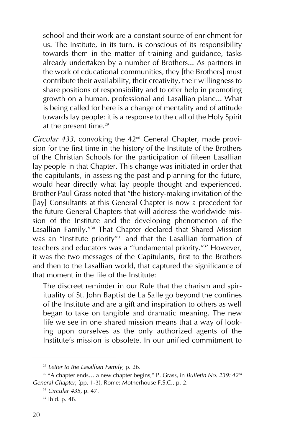school and their work are a constant source of enrichment for us. The Institute, in its turn, is conscious of its responsibility towards them in the matter of training and guidance, tasks already undertaken by a number of Brothers... As partners in the work of educational communities, they [the Brothers] must contribute their availability, their creativity, their willingness to share positions of responsibility and to offer help in promoting growth on a human, professional and Lasallian plane... What is being called for here is a change of mentality and of attitude towards lay people: it is a response to the call of the Holy Spirit at the present time. $29$ 

*Circular 433*, convoking the 42nd General Chapter, made provision for the first time in the history of the Institute of the Brothers of the Christian Schools for the participation of fifteen Lasallian lay people in that Chapter. This change was initiated in order that the capitulants, in assessing the past and planning for the future, would hear directly what lay people thought and experienced. Brother Paul Grass noted that "the history-making invitation of the [lay] Consultants at this General Chapter is now a precedent for the future General Chapters that will address the worldwide mission of the Institute and the developing phenomenon of the Lasallian Family."30 That Chapter declared that Shared Mission was an "Institute priority"<sup>31</sup> and that the Lasallian formation of teachers and educators was a "fundamental priority."<sup>32</sup> However, it was the two messages of the Capitulants, first to the Brothers and then to the Lasallian world, that captured the significance of that moment in the life of the Institute:

The discreet reminder in our Rule that the charism and spirituality of St. John Baptist de La Salle go beyond the confines of the Institute and are a gift and inspiration to others as well began to take on tangible and dramatic meaning. The new life we see in one shared mission means that a way of looking upon ourselves as the only authorized agents of the Institute's mission is obsolete. In our unified commitment to

<sup>29</sup> *Letter to the Lasallian Family*, p. 26.

<sup>&</sup>lt;sup>30</sup> "A chapter ends... a new chapter begins," P. Grass, in *Bulletin No. 239: 42<sup>nd</sup> General Chapter*, (pp. 1-3), Rome: Motherhouse F.S.C., p. 2.

<sup>31</sup> *Circular 435*, p. 47.

<sup>32</sup> Ibid. p. 48.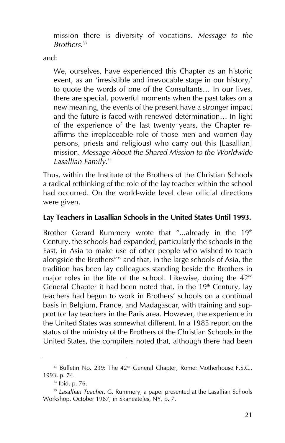mission there is diversity of vocations. *Message to the Brothers*. 33

and:

We, ourselves, have experienced this Chapter as an historic event, as an 'irresistible and irrevocable stage in our history,' to quote the words of one of the Consultants… In our lives, there are special, powerful moments when the past takes on a new meaning, the events of the present have a stronger impact and the future is faced with renewed determination… In light of the experience of the last twenty years, the Chapter reaffirms the irreplaceable role of those men and women (lay persons, priests and religious) who carry out this [Lasallian] mission. *Message About the Shared Mission to the Worldwide Lasallian Family*. 34

Thus, within the Institute of the Brothers of the Christian Schools a radical rethinking of the role of the lay teacher within the school had occurred. On the world-wide level clear official directions were given.

### **Lay Teachers in Lasallian Schools in the United States Until 1993.**

Brother Gerard Rummery wrote that "...already in the 19<sup>th</sup> Century, the schools had expanded, particularly the schools in the East, in Asia to make use of other people who wished to teach alongside the Brothers"35 and that, in the large schools of Asia, the tradition has been lay colleagues standing beside the Brothers in major roles in the life of the school. Likewise, during the  $42<sup>nd</sup>$ General Chapter it had been noted that, in the 19<sup>th</sup> Century, lay teachers had begun to work in Brothers' schools on a continual basis in Belgium, France, and Madagascar, with training and support for lay teachers in the Paris area. However, the experience in the United States was somewhat different. In a 1985 report on the status of the ministry of the Brothers of the Christian Schools in the United States, the compilers noted that, although there had been

<sup>&</sup>lt;sup>33</sup> Bulletin No. 239: The 42<sup>nd</sup> General Chapter, Rome: Motherhouse F.S.C., 1993, p. 74.

<sup>34</sup> Ibid. p. 76.

<sup>35</sup> *Lasallian Teacher*, G. Rummery, a paper presented at the Lasallian Schools Workshop, October 1987, in Skaneateles, NY, p. 7.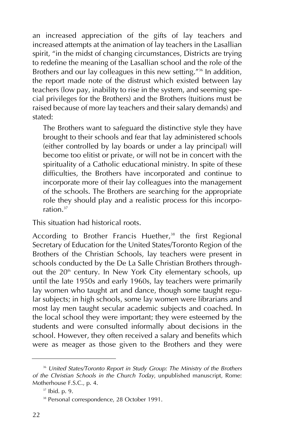an increased appreciation of the gifts of lay teachers and increased attempts at the animation of lay teachers in the Lasallian spirit, "in the midst of changing circumstances, Districts are trying to redefine the meaning of the Lasallian school and the role of the Brothers and our lay colleagues in this new setting."<sup>36</sup> In addition, the report made note of the distrust which existed between lay teachers (low pay, inability to rise in the system, and seeming special privileges for the Brothers) and the Brothers (tuitions must be raised because of more lay teachers and their salary demands) and stated:

The Brothers want to safeguard the distinctive style they have brought to their schools and fear that lay administered schools (either controlled by lay boards or under a lay principal) will become too elitist or private, or will not be in concert with the spirituality of a Catholic educational ministry. In spite of these difficulties, the Brothers have incorporated and continue to incorporate more of their lay colleagues into the management of the schools. The Brothers are searching for the appropriate role they should play and a realistic process for this incorporation.37

This situation had historical roots.

According to Brother Francis Huether,<sup>38</sup> the first Regional Secretary of Education for the United States/Toronto Region of the Brothers of the Christian Schools, lay teachers were present in schools conducted by the De La Salle Christian Brothers throughout the 20<sup>th</sup> century. In New York City elementary schools, up until the late 1950s and early 1960s, lay teachers were primarily lay women who taught art and dance, though some taught regular subjects; in high schools, some lay women were librarians and most lay men taught secular academic subjects and coached. In the local school they were important; they were esteemed by the students and were consulted informally about decisions in the school. However, they often received a salary and benefits which were as meager as those given to the Brothers and they were

<sup>36</sup> *United States/Toronto Report in Study Group: The Ministry of the Brothers of the Christian Schools in the Church Today*, unpublished manuscript, Rome: Motherhouse F.S.C., p. 4.

<sup>37</sup> Ibid. p. 9.

<sup>38</sup> Personal correspondence, 28 October 1991.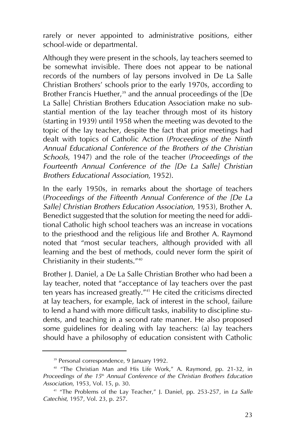rarely or never appointed to administrative positions, either school-wide or departmental.

Although they were present in the schools, lay teachers seemed to be somewhat invisible. There does not appear to be national records of the numbers of lay persons involved in De La Salle Christian Brothers' schools prior to the early 1970s, according to Brother Francis Huether, $39$  and the annual proceedings of the  $[De$ La Salle] Christian Brothers Education Association make no substantial mention of the lay teacher through most of its history (starting in 1939) until 1958 when the meeting was devoted to the topic of the lay teacher, despite the fact that prior meetings had dealt with topics of Catholic Action (*Proceedings of the Ninth Annual Educational Conference of the Brothers of the Christian Schools*, 1947) and the role of the teacher (*Proceedings of the Fourteenth Annual Conference of the [De La Salle] Christian Brothers Educational Association*, 1952).

In the early 1950s, in remarks about the shortage of teachers (*Proceedings of the Fifteenth Annual Conference of the [De La Salle] Christian Brothers Education Association*, 1953), Brother A. Benedict suggested that the solution for meeting the need for additional Catholic high school teachers was an increase in vocations to the priesthood and the religious life and Brother A. Raymond noted that "most secular teachers, although provided with all learning and the best of methods, could never form the spirit of Christianity in their students."40

Brother J. Daniel, a De La Salle Christian Brother who had been a lay teacher, noted that "acceptance of lay teachers over the past ten years has increased greatly."41 He cited the criticisms directed at lay teachers, for example, lack of interest in the school, failure to lend a hand with more difficult tasks, inability to discipline students, and teaching in a second rate manner. He also proposed some guidelines for dealing with lay teachers: (a) lay teachers should have a philosophy of education consistent with Catholic

<sup>39</sup> Personal correspondence, 9 January 1992.

<sup>&</sup>lt;sup>40</sup> "The Christian Man and His Life Work," A. Raymond, pp. 21-32, in *Proceedings of the 15th Annual Conference of the Christian Brothers Education Association*, 1953, Vol. 15, p. 30.

<sup>41</sup> "The Problems of the Lay Teacher," J. Daniel, pp. 253-257, in *La Salle Catechist*, 1957, Vol. 23, p. 257.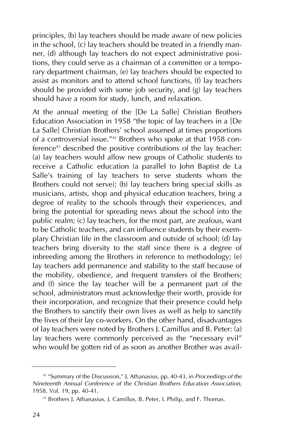principles, (b) lay teachers should be made aware of new policies in the school, (c) lay teachers should be treated in a friendly manner, (d) although lay teachers do not expect administrative positions, they could serve as a chairman of a committee or a temporary department chairman, (e) lay teachers should be expected to assist as monitors and to attend school functions, (f) lay teachers should be provided with some job security, and (g) lay teachers should have a room for study, lunch, and relaxation.

At the annual meeting of the [De La Salle] Christian Brothers Education Association in 1958 "the topic of lay teachers in a [De La Salle] Christian Brothers' school assumed at times proportions of a controversial issue."42 Brothers who spoke at that 1958 conference<sup>43</sup> described the positive contributions of the lay teacher: (a) lay teachers would allow new groups of Catholic students to receive a Catholic education (a parallel to John Baptist de La Salle's training of lay teachers to serve students whom the Brothers could not serve); (b) lay teachers bring special skills as musicians, artists, shop and physical education teachers, bring a degree of reality to the schools through their experiences, and bring the potential for spreading news about the school into the public realm; (c) lay teachers, for the most part, are zealous, want to be Catholic teachers, and can influence students by their exemplary Christian life in the classroom and outside of school; (d) lay teachers bring diversity to the staff since there is a degree of inbreeding among the Brothers in reference to methodology; (e) lay teachers add permanence and stability to the staff because of the mobility, obedience, and frequent transfers of the Brothers; and (f) since the lay teacher will be a permanent part of the school, administrators must acknowledge their worth, provide for their incorporation, and recognize that their presence could help the Brothers to sanctify their own lives as well as help to sanctify the lives of their lay co-workers. On the other hand, disadvantages of lay teachers were noted by Brothers J. Camillus and B. Peter: (a) lay teachers were commonly perceived as the "necessary evil" who would be gotten rid of as soon as another Brother was avail-

<sup>42</sup> "Summary of the Discussion," J. Athanasius, pp. 40-43, in *Proceedings of the Nineteenth Annual Conference of the Christian Brothers Education Association*, 1958, Vol. 19, pp. 40-41.

<sup>43</sup> Brothers J. Athanasius, J. Camillus, B. Peter, I. Philip, and F. Thomas.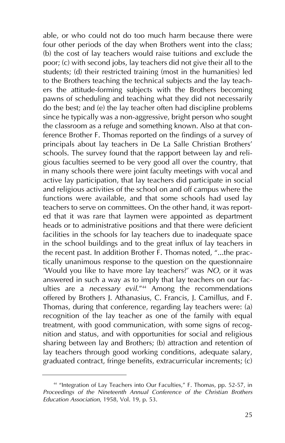able, or who could not do too much harm because there were four other periods of the day when Brothers went into the class; (b) the cost of lay teachers would raise tuitions and exclude the poor; (c) with second jobs, lay teachers did not give their all to the students; (d) their restricted training (most in the humanities) led to the Brothers teaching the technical subjects and the lay teachers the attitude-forming subjects with the Brothers becoming pawns of scheduling and teaching what they did not necessarily do the best; and (e) the lay teacher often had discipline problems since he typically was a non-aggressive, bright person who sought the classroom as a refuge and something known. Also at that conference Brother F. Thomas reported on the findings of a survey of principals about lay teachers in De La Salle Christian Brothers' schools. The survey found that the rapport between lay and religious faculties seemed to be very good all over the country, that in many schools there were joint faculty meetings with vocal and active lay participation, that lay teachers did participate in social and religious activities of the school on and off campus where the functions were available, and that some schools had used lay teachers to serve on committees. On the other hand, it was reported that it was rare that laymen were appointed as department heads or to administrative positions and that there were deficient facilities in the schools for lay teachers due to inadequate space in the school buildings and to the great influx of lay teachers in the recent past. In addition Brother F. Thomas noted, "...the practically unanimous response to the question on the questionnaire 'Would you like to have more lay teachers?' was *NO*, or it was answered in such a way as to imply that lay teachers on our faculties are a *necessary evil*."44 Among the recommendations offered by Brothers J. Athanasius, C. Francis, J. Camillus, and F. Thomas, during that conference, regarding lay teachers were: (a) recognition of the lay teacher as one of the family with equal treatment, with good communication, with some signs of recognition and status, and with opportunities for social and religious sharing between lay and Brothers; (b) attraction and retention of lay teachers through good working conditions, adequate salary, graduated contract, fringe benefits, extracurricular increments; (c)

<sup>44</sup> "Integration of Lay Teachers into Our Faculties," F. Thomas, pp. 52-57, in *Proceedings of the Nineteenth Annual Conference of the Christian Brothers Education Association*, 1958, Vol. 19, p. 53.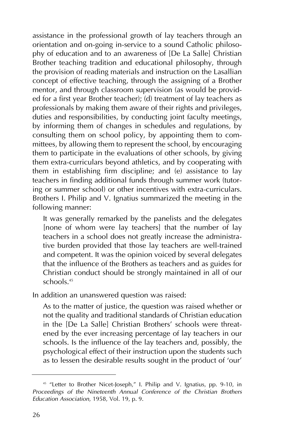assistance in the professional growth of lay teachers through an orientation and on-going in-service to a sound Catholic philosophy of education and to an awareness of [De La Salle] Christian Brother teaching tradition and educational philosophy, through the provision of reading materials and instruction on the Lasallian concept of effective teaching, through the assigning of a Brother mentor, and through classroom supervision (as would be provided for a first year Brother teacher); (d) treatment of lay teachers as professionals by making them aware of their rights and privileges, duties and responsibilities, by conducting joint faculty meetings, by informing them of changes in schedules and regulations, by consulting them on school policy, by appointing them to committees, by allowing them to represent the school, by encouraging them to participate in the evaluations of other schools, by giving them extra-curriculars beyond athletics, and by cooperating with them in establishing firm discipline; and (e) assistance to lay teachers in finding additional funds through summer work (tutoring or summer school) or other incentives with extra-curriculars. Brothers I. Philip and V. Ignatius summarized the meeting in the following manner:

It was generally remarked by the panelists and the delegates [none of whom were lay teachers] that the number of lay teachers in a school does not greatly increase the administrative burden provided that those lay teachers are well-trained and competent. It was the opinion voiced by several delegates that the influence of the Brothers as teachers and as guides for Christian conduct should be strongly maintained in all of our schools<sup>45</sup>

In addition an unanswered question was raised:

As to the matter of justice, the question was raised whether or not the quality and traditional standards of Christian education in the [De La Salle] Christian Brothers' schools were threatened by the ever increasing percentage of lay teachers in our schools. Is the influence of the lay teachers and, possibly, the psychological effect of their instruction upon the students such as to lessen the desirable results sought in the product of 'our'

<sup>&</sup>lt;sup>45</sup> "Letter to Brother Nicet-Joseph," I. Philip and V. Ignatius, pp. 9-10, in *Proceedings of the Nineteenth Annual Conference of the Christian Brothers Education Association*, 1958, Vol. 19, p. 9.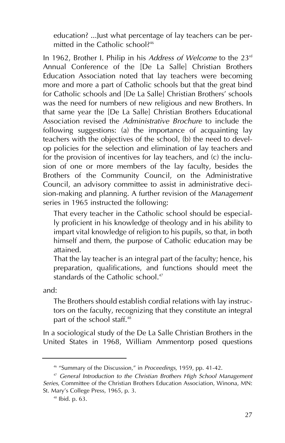education? ...Just what percentage of lay teachers can be permitted in the Catholic school?<sup>46</sup>

In 1962, Brother I. Philip in his *Address of Welcome* to the 23rd Annual Conference of the [De La Salle] Christian Brothers Education Association noted that lay teachers were becoming more and more a part of Catholic schools but that the great bind for Catholic schools and [De La Salle] Christian Brothers' schools was the need for numbers of new religious and new Brothers. In that same year the [De La Salle] Christian Brothers Educational Association revised the *Administrative Brochure* to include the following suggestions: (a) the importance of acquainting lay teachers with the objectives of the school, (b) the need to develop policies for the selection and elimination of lay teachers and for the provision of incentives for lay teachers, and (c) the inclusion of one or more members of the lay faculty, besides the Brothers of the Community Council, on the Administrative Council, an advisory committee to assist in administrative decision-making and planning. A further revision of the *Management* series in 1965 instructed the following:

That every teacher in the Catholic school should be especially proficient in his knowledge of theology and in his ability to impart vital knowledge of religion to his pupils, so that, in both himself and them, the purpose of Catholic education may be attained.

That the lay teacher is an integral part of the faculty; hence, his preparation, qualifications, and functions should meet the standards of the Catholic school.<sup>47</sup>

and:

The Brothers should establish cordial relations with lay instructors on the faculty, recognizing that they constitute an integral part of the school staff.<sup>48</sup>

In a sociological study of the De La Salle Christian Brothers in the United States in 1968, William Ammentorp posed questions

<sup>46</sup> "Summary of the Discussion," in *Proceedings*, 1959, pp. 41-42.

<sup>47</sup> *General Introduction to the Christian Brothers High School Management Series*, Committee of the Christian Brothers Education Association, Winona, MN: St. Mary's College Press, 1965, p. 3.

<sup>48</sup> Ibid. p. 63.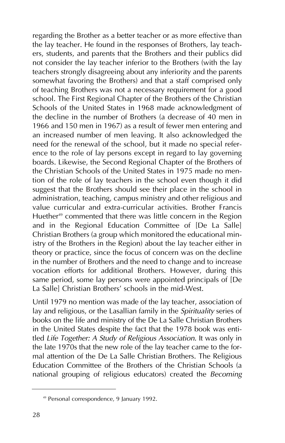regarding the Brother as a better teacher or as more effective than the lay teacher. He found in the responses of Brothers, lay teachers, students, and parents that the Brothers and their publics did not consider the lay teacher inferior to the Brothers (with the lay teachers strongly disagreeing about any inferiority and the parents somewhat favoring the Brothers) and that a staff comprised only of teaching Brothers was not a necessary requirement for a good school. The First Regional Chapter of the Brothers of the Christian Schools of the United States in 1968 made acknowledgment of the decline in the number of Brothers (a decrease of 40 men in 1966 and 150 men in 1967) as a result of fewer men entering and an increased number of men leaving. It also acknowledged the need for the renewal of the school, but it made no special reference to the role of lay persons except in regard to lay governing boards. Likewise, the Second Regional Chapter of the Brothers of the Christian Schools of the United States in 1975 made no mention of the role of lay teachers in the school even though it did suggest that the Brothers should see their place in the school in administration, teaching, campus ministry and other religious and value curricular and extra-curricular activities. Brother Francis Huether<sup>49</sup> commented that there was little concern in the Region and in the Regional Education Committee of [De La Salle] Christian Brothers (a group which monitored the educational ministry of the Brothers in the Region) about the lay teacher either in theory or practice, since the focus of concern was on the decline in the number of Brothers and the need to change and to increase vocation efforts for additional Brothers. However, during this same period, some lay persons were appointed principals of [De La Salle] Christian Brothers' schools in the mid-West.

Until 1979 no mention was made of the lay teacher, association of lay and religious, or the Lasallian family in the *Spirituality* series of books on the life and ministry of the De La Salle Christian Brothers in the United States despite the fact that the 1978 book was entitled *Life Together: A Study of Religious Association*. It was only in the late 1970s that the new role of the lay teacher came to the formal attention of the De La Salle Christian Brothers. The Religious Education Committee of the Brothers of the Christian Schools (a national grouping of religious educators) created the *Becoming*

<sup>49</sup> Personal correspondence, 9 January 1992.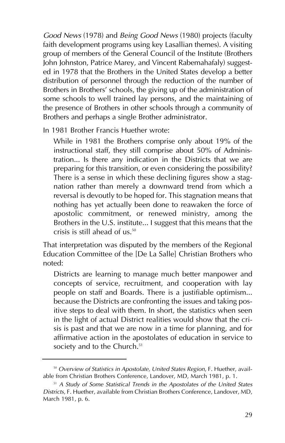*Good News* (1978) and *Being Good News* (1980) projects (faculty faith development programs using key Lasallian themes). A visiting group of members of the General Council of the Institute (Brothers John Johnston, Patrice Marey, and Vincent Rabemahafaly) suggested in 1978 that the Brothers in the United States develop a better distribution of personnel through the reduction of the number of Brothers in Brothers' schools, the giving up of the administration of some schools to well trained lay persons, and the maintaining of the presence of Brothers in other schools through a community of Brothers and perhaps a single Brother administrator.

In 1981 Brother Francis Huether wrote:

While in 1981 the Brothers comprise only about 19% of the instructional staff, they still comprise about 50% of Administration... Is there any indication in the Districts that we are preparing for this transition, or even considering the possibility? There is a sense in which these declining figures show a stagnation rather than merely a downward trend from which a reversal is devoutly to be hoped for. This stagnation means that nothing has yet actually been done to reawaken the force of apostolic commitment, or renewed ministry, among the Brothers in the U.S. institute... I suggest that this means that the crisis is still ahead of us.50

That interpretation was disputed by the members of the Regional Education Committee of the [De La Salle] Christian Brothers who noted:

Districts are learning to manage much better manpower and concepts of service, recruitment, and cooperation with lay people on staff and Boards. There is a justifiable optimism... because the Districts are confronting the issues and taking positive steps to deal with them. In short, the statistics when seen in the light of actual District realities would show that the crisis is past and that we are now in a time for planning, and for affirmative action in the apostolates of education in service to society and to the Church.<sup>51</sup>

<sup>50</sup> *Overview of Statistics in Apostolate, United States Region*, F. Huether, available from Christian Brothers Conference, Landover, MD, March 1981, p. 1.

<sup>51</sup> *A Study of Some Statistical Trends in the Apostolates of the United States Districts*, F. Huether, available from Christian Brothers Conference, Landover, MD, March 1981, p. 6.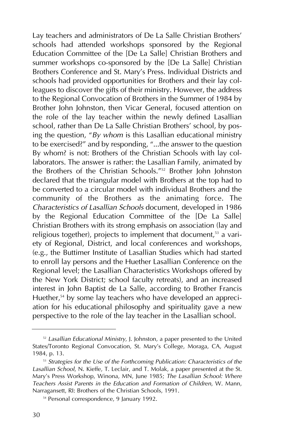Lay teachers and administrators of De La Salle Christian Brothers' schools had attended workshops sponsored by the Regional Education Committee of the [De La Salle] Christian Brothers and summer workshops co-sponsored by the [De La Salle] Christian Brothers Conference and St. Mary's Press. Individual Districts and schools had provided opportunities for Brothers and their lay colleagues to discover the gifts of their ministry. However, the address to the Regional Convocation of Brothers in the Summer of 1984 by Brother John Johnston, then Vicar General, focused attention on the role of the lay teacher within the newly defined Lasallian school, rather than De La Salle Christian Brothers' school, by posing the question, "*By whom* is this Lasallian educational ministry to be exercised?" and by responding, "...the answer to the question By whom? is not: Brothers of the Christian Schools with lay collaborators. The answer is rather: the Lasallian Family, animated by the Brothers of the Christian Schools."52 Brother John Johnston declared that the triangular model with Brothers at the top had to be converted to a circular model with individual Brothers and the community of the Brothers as the animating force. The *Characteristics of Lasallian Schools* document, developed in 1986 by the Regional Education Committee of the [De La Salle] Christian Brothers with its strong emphasis on association (lay and religious together), projects to implement that document,<sup>53</sup> a variety of Regional, District, and local conferences and workshops, (e.g., the Buttimer Institute of Lasallian Studies which had started to enroll lay persons and the Huether Lasallian Conference on the Regional level; the Lasallian Characteristics Workshops offered by the New York District; school faculty retreats), and an increased interest in John Baptist de La Salle, according to Brother Francis Huether,<sup>54</sup> by some lay teachers who have developed an appreciation for his educational philosophy and spirituality gave a new perspective to the role of the lay teacher in the Lasallian school.

<sup>52</sup> *Lasallian Educational Ministry*, J. Johnston, a paper presented to the United States/Toronto Regional Convocation, St. Mary's College, Moraga, CA, August 1984, p. 13.

<sup>53</sup> *Strategies for the Use of the Forthcoming Publication: Characteristics of the Lasallian School*, N. Kieffe, T. Leclair, and T. Molak, a paper presented at the St. Mary's Press Workshop, Winona, MN, June 1985; *The Lasallian School: Where Teachers Assist Parents in the Education and Formation of Children*, W. Mann, Narragansett, RI: Brothers of the Christian Schools, 1991.

<sup>&</sup>lt;sup>54</sup> Personal correspondence, 9 January 1992.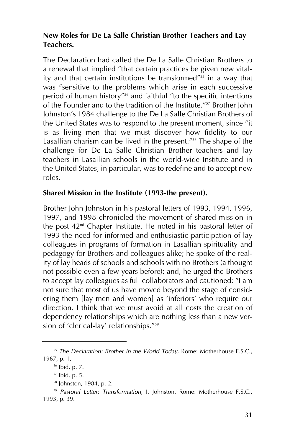### **New Roles for De La Salle Christian Brother Teachers and Lay Teachers.**

The Declaration had called the De La Salle Christian Brothers to a renewal that implied "that certain practices be given new vitality and that certain institutions be transformed" $55$  in a way that was "sensitive to the problems which arise in each successive period of human history"56 and faithful "to the specific intentions of the Founder and to the tradition of the Institute."57 Brother John Johnston's 1984 challenge to the De La Salle Christian Brothers of the United States was to respond to the present moment, since "it is as living men that we must discover how fidelity to our Lasallian charism can be lived in the present."58 The shape of the challenge for De La Salle Christian Brother teachers and lay teachers in Lasallian schools in the world-wide Institute and in the United States, in particular, was to redefine and to accept new roles.

#### **Shared Mission in the Institute (1993-the present).**

Brother John Johnston in his pastoral letters of 1993, 1994, 1996, 1997, and 1998 chronicled the movement of shared mission in the post  $42<sup>nd</sup>$  Chapter Institute. He noted in his pastoral letter of 1993 the need for informed and enthusiastic participation of lay colleagues in programs of formation in Lasallian spirituality and pedagogy for Brothers and colleagues alike; he spoke of the reality of lay heads of schools and schools with no Brothers (a thought not possible even a few years before); and, he urged the Brothers to accept lay colleagues as full collaborators and cautioned: "I am not sure that most of us have moved beyond the stage of considering them [lay men and women] as 'inferiors' who require our direction. I think that we must avoid at all costs the creation of dependency relationships which are nothing less than a new version of 'clerical-lay' relationships."59

<sup>55</sup> *The Declaration: Brother in the World Today*, Rome: Motherhouse F.S.C., 1967, p. 1.

<sup>56</sup> Ibid. p. 7.

<sup>57</sup> Ibid. p. 5.

<sup>58</sup> Johnston, 1984, p. 2.

<sup>59</sup> *Pastoral Letter: Transformation*, J. Johnston, Rome: Motherhouse F.S.C., 1993, p. 39.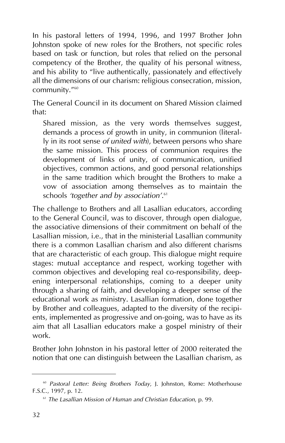In his pastoral letters of 1994, 1996, and 1997 Brother John Johnston spoke of new roles for the Brothers, not specific roles based on task or function, but roles that relied on the personal competency of the Brother, the quality of his personal witness, and his ability to "live authentically, passionately and effectively all the dimensions of our charism: religious consecration, mission, community."60

The General Council in its document on Shared Mission claimed that:

Shared mission, as the very words themselves suggest, demands a process of growth in unity, in communion (literally in its root sense *of united with*), between persons who share the same mission. This process of communion requires the development of links of unity, of communication, unified objectives, common actions, and good personal relationships in the same tradition which brought the Brothers to make a vow of association among themselves as to maintain the schools *'together and by association'*. 61

The challenge to Brothers and all Lasallian educators, according to the General Council, was to discover, through open dialogue, the associative dimensions of their commitment on behalf of the Lasallian mission, i.e., that in the ministerial Lasallian community there is a common Lasallian charism and also different charisms that are characteristic of each group. This dialogue might require stages: mutual acceptance and respect, working together with common objectives and developing real co-responsibility, deepening interpersonal relationships, coming to a deeper unity through a sharing of faith, and developing a deeper sense of the educational work as ministry. Lasallian formation, done together by Brother and colleagues, adapted to the diversity of the recipients, implemented as progressive and on-going, was to have as its aim that all Lasallian educators make a gospel ministry of their work.

Brother John Johnston in his pastoral letter of 2000 reiterated the notion that one can distinguish between the Lasallian charism, as

<sup>60</sup> *Pastoral Letter: Being Brothers Today*, J. Johnston, Rome: Motherhouse F.S.C., 1997, p. 12.

<sup>61</sup> *The Lasallian Mission of Human and Christian Education*, p. 99.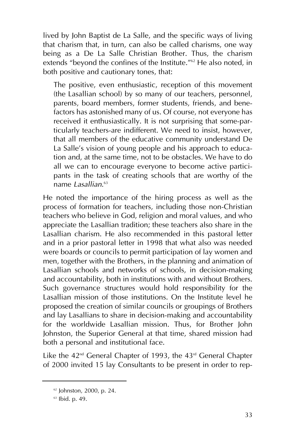lived by John Baptist de La Salle, and the specific ways of living that charism that, in turn, can also be called charisms, one way being as a De La Salle Christian Brother. Thus, the charism extends "beyond the confines of the Institute."62 He also noted, in both positive and cautionary tones, that:

The positive, even enthusiastic, reception of this movement (the Lasallian school) by so many of our teachers, personnel, parents, board members, former students, friends, and benefactors has astonished many of us. Of course, not everyone has received it enthusiastically. It is not surprising that some-particularly teachers-are indifferent. We need to insist, however, that all members of the educative community understand De La Salle's vision of young people and his approach to education and, at the same time, not to be obstacles. We have to do all we can to encourage everyone to become active participants in the task of creating schools that are worthy of the name *Lasallian*. 63

He noted the importance of the hiring process as well as the process of formation for teachers, including those non-Christian teachers who believe in God, religion and moral values, and who appreciate the Lasallian tradition; these teachers also share in the Lasallian charism. He also recommended in this pastoral letter and in a prior pastoral letter in 1998 that what also was needed were boards or councils to permit participation of lay women and men, together with the Brothers, in the planning and animation of Lasallian schools and networks of schools, in decision-making and accountability, both in institutions with and without Brothers. Such governance structures would hold responsibility for the Lasallian mission of those institutions. On the Institute level he proposed the creation of similar councils or groupings of Brothers and lay Lasallians to share in decision-making and accountability for the worldwide Lasallian mission. Thus, for Brother John Johnston, the Superior General at that time, shared mission had both a personal and institutional face.

Like the  $42^{nd}$  General Chapter of 1993, the  $43^{rd}$  General Chapter of 2000 invited 15 lay Consultants to be present in order to rep-

<sup>62</sup> Johnston, 2000, p. 24.

<sup>63</sup> Ibid. p. 49.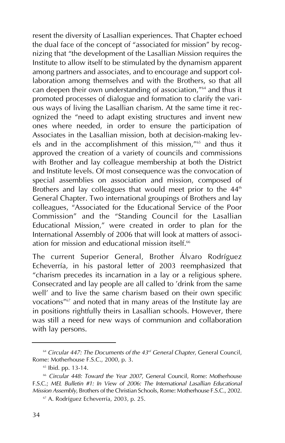resent the diversity of Lasallian experiences. That Chapter echoed the dual face of the concept of "associated for mission" by recognizing that "the development of the Lasallian Mission requires the Institute to allow itself to be stimulated by the dynamism apparent among partners and associates, and to encourage and support collaboration among themselves and with the Brothers, so that all can deepen their own understanding of association,"64 and thus it promoted processes of dialogue and formation to clarify the various ways of living the Lasallian charism. At the same time it recognized the "need to adapt existing structures and invent new ones where needed, in order to ensure the participation of Associates in the Lasallian mission, both at decision-making levels and in the accomplishment of this mission,"<sup>65</sup> and thus it approved the creation of a variety of councils and commissions with Brother and lay colleague membership at both the District and Institute levels. Of most consequence was the convocation of special assemblies on association and mission, composed of Brothers and lay colleagues that would meet prior to the  $44<sup>th</sup>$ General Chapter. Two international groupings of Brothers and lay colleagues, "Associated for the Educational Service of the Poor Commission" and the "Standing Council for the Lasallian Educational Mission," were created in order to plan for the International Assembly of 2006 that will look at matters of association for mission and educational mission itself.<sup>66</sup>

The current Superior General, Brother Álvaro Rodríguez Echeverría, in his pastoral letter of 2003 reemphasized that "charism precedes its incarnation in a lay or a religious sphere. Consecrated and lay people are all called to 'drink from the same well' and to live the same charism based on their own specific vocations"67 and noted that in many areas of the Institute lay are in positions rightfully theirs in Lasallian schools. However, there was still a need for new ways of communion and collaboration with lay persons.

<sup>64</sup> *Circular 447: The Documents of the 43rd General Chapter*, General Council, Rome: Motherhouse F.S.C., 2000, p. 3.

<sup>&</sup>lt;sup>65</sup> Ibid. pp. 13-14.

<sup>66</sup> *Circular 448: Toward the Year 2007*, General Council, Rome: Motherhouse F.S.C.; *MEL Bulletin #1: In View of 2006: The International Lasallian Educational Mission Assembly*, Brothers of the Christian Schools, Rome: Motherhouse F.S.C., 2002.

<sup>67</sup> A. Rodríguez Echeverría, 2003, p. 25.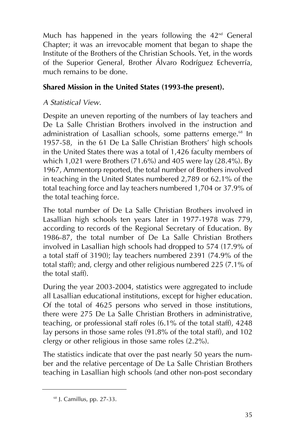Much has happened in the years following the  $42<sup>nd</sup>$  General Chapter; it was an irrevocable moment that began to shape the Institute of the Brothers of the Christian Schools. Yet, in the words of the Superior General, Brother Álvaro Rodríguez Echeverría, much remains to be done.

### **Shared Mission in the United States (1993-the present).**

### *A Statistical View.*

Despite an uneven reporting of the numbers of lay teachers and De La Salle Christian Brothers involved in the instruction and administration of Lasallian schools, some patterns emerge.<sup>68</sup> In 1957-58, in the 61 De La Salle Christian Brothers' high schools in the United States there was a total of 1,426 faculty members of which 1,021 were Brothers (71.6%) and 405 were lay (28.4%). By 1967, Ammentorp reported, the total number of Brothers involved in teaching in the United States numbered 2,789 or 62.1% of the total teaching force and lay teachers numbered 1,704 or 37.9% of the total teaching force.

The total number of De La Salle Christian Brothers involved in Lasallian high schools ten years later in 1977-1978 was 779, according to records of the Regional Secretary of Education. By 1986-87, the total number of De La Salle Christian Brothers involved in Lasallian high schools had dropped to 574 (17.9% of a total staff of 3190); lay teachers numbered 2391 (74.9% of the total staff); and, clergy and other religious numbered 225 (7.1% of the total staff).

During the year 2003-2004, statistics were aggregated to include all Lasallian educational institutions, except for higher education. Of the total of 4625 persons who served in those institutions, there were 275 De La Salle Christian Brothers in administrative, teaching, or professional staff roles (6.1% of the total staff), 4248 lay persons in those same roles (91.8% of the total staff), and 102 clergy or other religious in those same roles (2.2%).

The statistics indicate that over the past nearly 50 years the number and the relative percentage of De La Salle Christian Brothers teaching in Lasallian high schools (and other non-post secondary

<sup>68</sup> J. Camillus, pp. 27-33.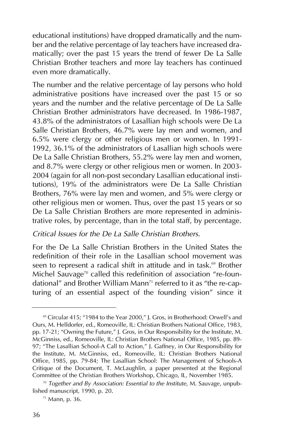educational institutions) have dropped dramatically and the number and the relative percentage of lay teachers have increased dramatically; over the past 15 years the trend of fewer De La Salle Christian Brother teachers and more lay teachers has continued even more dramatically.

The number and the relative percentage of lay persons who hold administrative positions have increased over the past 15 or so years and the number and the relative percentage of De La Salle Christian Brother administrators have decreased. In 1986-1987, 43.8% of the administrators of Lasallian high schools were De La Salle Christian Brothers, 46.7% were lay men and women, and 6.5% were clergy or other religious men or women. In 1991- 1992, 36.1% of the administrators of Lasallian high schools were De La Salle Christian Brothers, 55.2% were lay men and women, and 8.7% were clergy or other religious men or women. In 2003- 2004 (again for all non-post secondary Lasallian educational institutions), 19% of the administrators were De La Salle Christian Brothers, 76% were lay men and women, and 5% were clergy or other religious men or women. Thus, over the past 15 years or so De La Salle Christian Brothers are more represented in administrative roles, by percentage, than in the total staff, by percentage.

#### *Critical Issues for the De La Salle Christian Brothers.*

For the De La Salle Christian Brothers in the United States the redefinition of their role in the Lasallian school movement was seen to represent a radical shift in attitude and in task.<sup>69</sup> Brother Michel Sauvage<sup>70</sup> called this redefinition of association "re-foundational" and Brother William Mann<sup>71</sup> referred to it as "the re-capturing of an essential aspect of the founding vision" since it

<sup>&</sup>lt;sup>69</sup> Circular 415; "1984 to the Year 2000," J. Gros, in Brotherhood: Orwell's and Ours, M. Helldorfer, ed., Romeoville, IL: Christian Brothers National Office, 1983, pp. 17-21; "Owning the Future," J. Gros, in Our Responsibility for the Institute, M. McGinniss, ed., Romeoville, IL: Christian Brothers National Office, 1985, pp. 89- 97; "The Lasallian School-A Call to Action," J. Gaffney, in Our Responsibility for the Institute, M. McGinniss, ed., Romeoville, IL: Christian Brothers National Office, 1985, pp. 79-84; The Lasallian School: The Management of Schools-A Critique of the Document, T. McLaughlin, a paper presented at the Regional Committee of the Christian Brothers Workshop, Chicago, IL, November 1985.

<sup>70</sup> *Together and By Association: Essential to the Institute*, M. Sauvage, unpublished manuscript, 1990, p. 20.

 $71$  Mann, p. 36.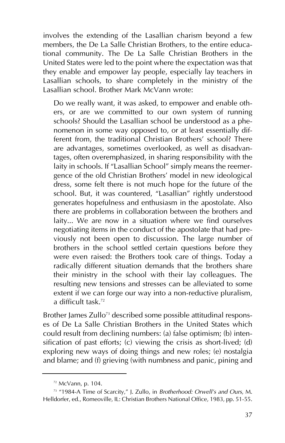involves the extending of the Lasallian charism beyond a few members, the De La Salle Christian Brothers, to the entire educational community. The De La Salle Christian Brothers in the United States were led to the point where the expectation was that they enable and empower lay people, especially lay teachers in Lasallian schools, to share completely in the ministry of the Lasallian school. Brother Mark McVann wrote:

Do we really want, it was asked, to empower and enable others, or are we committed to our own system of running schools? Should the Lasallian school be understood as a phenomenon in some way opposed to, or at least essentially different from, the traditional Christian Brothers' school? There are advantages, sometimes overlooked, as well as disadvantages, often overemphasized, in sharing responsibility with the laity in schools. If "Lasallian School" simply means the reemergence of the old Christian Brothers' model in new ideological dress, some felt there is not much hope for the future of the school. But, it was countered, "Lasallian" rightly understood generates hopefulness and enthusiasm in the apostolate. Also there are problems in collaboration between the brothers and laity... We are now in a situation where we find ourselves negotiating items in the conduct of the apostolate that had previously not been open to discussion. The large number of brothers in the school settled certain questions before they were even raised: the Brothers took care of things. Today a radically different situation demands that the brothers share their ministry in the school with their lay colleagues. The resulting new tensions and stresses can be alleviated to some extent if we can forge our way into a non-reductive pluralism, a difficult task.72

Brother James Zullo<sup>73</sup> described some possible attitudinal responses of De La Salle Christian Brothers in the United States which could result from declining numbers: (a) false optimism; (b) intensification of past efforts; (c) viewing the crisis as short-lived; (d) exploring new ways of doing things and new roles; (e) nostalgia and blame; and (f) grieving (with numbness and panic, pining and

 $72$  McVann, p. 104.

<sup>73</sup> "1984-A Time of Scarcity," J. Zullo, in *Brotherhood: Orwell's and Ours*, M. Helldorfer, ed., Romeoville, IL: Christian Brothers National Office, 1983, pp. 51-55.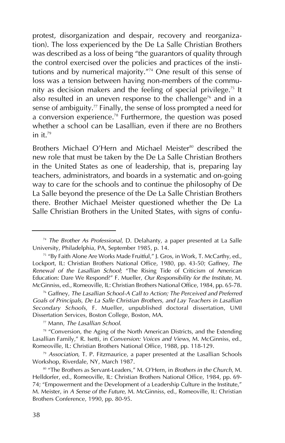protest, disorganization and despair, recovery and reorganization). The loss experienced by the De La Salle Christian Brothers was described as a loss of being "the guarantors of quality through the control exercised over the policies and practices of the institutions and by numerical majority."74 One result of this sense of loss was a tension between having non-members of the community as decision makers and the feeling of special privilege.<sup>75</sup> It also resulted in an uneven response to the challenge<sup>76</sup> and in a sense of ambiguity.<sup>77</sup> Finally, the sense of loss prompted a need for a conversion experience.<sup>78</sup> Furthermore, the question was posed whether a school can be Lasallian, even if there are no Brothers in it. $79$ 

Brothers Michael O'Hern and Michael Meister<sup>80</sup> described the new role that must be taken by the De La Salle Christian Brothers in the United States as one of leadership, that is, preparing lay teachers, administrators, and boards in a systematic and on-going way to care for the schools and to continue the philosophy of De La Salle beyond the presence of the De La Salle Christian Brothers there. Brother Michael Meister questioned whether the De La Salle Christian Brothers in the United States, with signs of confu-

<sup>77</sup> Mann, *The Lasallian School*.

<sup>74</sup> *The Brother As Professional*, D. Delahanty, a paper presented at La Salle University, Philadelphia, PA, September 1985, p. 14.

<sup>75</sup> "By Faith Alone Are Works Made Fruitful," J. Gros, in Work, T. McCarthy, ed., Lockport, IL: Christian Brothers National Office, 1980, pp. 43-50; Gaffney, *The Renewal of the Lasallian School*; "The Rising Tide of Criticism of American Education: Dare We Respond?" F. Mueller, *Our Responsibility for the Institute*, M. McGinniss, ed., Romeoville, IL: Christian Brothers National Office, 1984, pp. 65-78.

<sup>76</sup> Gaffney, *The Lasallian School-A Call to Action; The Perceived and Preferred Goals of Principals, De La Salle Christian Brothers, and Lay Teachers in Lasallian Secondary Schools*, F. Mueller, unpublished doctoral dissertation, UMI Dissertation Services, Boston College, Boston, MA.

<sup>&</sup>lt;sup>78</sup> "Conversion, the Aging of the North American Districts, and the Extending Lasallian Family," R. Isetti, in *Conversion: Voices and Views*, M. McGinniss, ed., Romeoville, IL: Christian Brothers National Office, 1988, pp. 118-129.

<sup>79</sup> *Association*, T. P. Fitzmaurice, a paper presented at the Lasallian Schools Workshop, Riverdale, NY, March 1987.

<sup>80</sup> "The Brothers as Servant-Leaders," M. O'Hern, in *Brothers in the Church*, M. Helldorfer, ed., Romeoville, IL: Christian Brothers National Office, 1984, pp. 69- 74; "Empowerment and the Development of a Leadership Culture in the Institute," M. Meister, in *A Sense of the Future*, M. McGinniss, ed., Romeoville, IL: Christian Brothers Conference, 1990, pp. 80-95.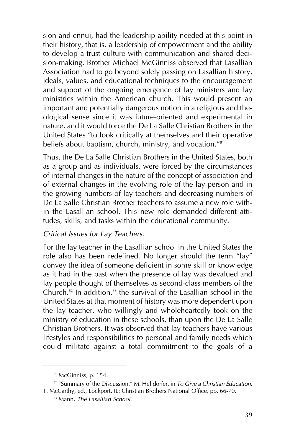sion and ennui, had the leadership ability needed at this point in their history, that is, a leadership of empowerment and the ability to develop a trust culture with communication and shared decision-making. Brother Michael McGinniss observed that Lasallian Association had to go beyond solely passing on Lasallian history, ideals, values, and educational techniques to the encouragement and support of the ongoing emergence of lay ministers and lay ministries within the American church. This would present an important and potentially dangerous notion in a religious and theological sense since it was future-oriented and experimental in nature, and it would force the De La Salle Christian Brothers in the United States "to look critically at themselves and their operative beliefs about baptism, church, ministry, and vocation."<sup>81</sup>

Thus, the De La Salle Christian Brothers in the United States, both as a group and as individuals, were forced by the circumstances of internal changes in the nature of the concept of association and of external changes in the evolving role of the lay person and in the growing numbers of lay teachers and decreasing numbers of De La Salle Christian Brother teachers to assume a new role within the Lasallian school. This new role demanded different attitudes, skills, and tasks within the educational community.

### *Critical Issues for Lay Teachers.*

For the lay teacher in the Lasallian school in the United States the role also has been redefined. No longer should the term "lay" convey the idea of someone deficient in some skill or knowledge as it had in the past when the presence of lay was devalued and lay people thought of themselves as second-class members of the Church.<sup>82</sup> In addition, $83$  the survival of the Lasallian school in the United States at that moment of history was more dependent upon the lay teacher, who willingly and wholeheartedly took on the ministry of education in these schools, than upon the De La Salle Christian Brothers. It was observed that lay teachers have various lifestyles and responsibilities to personal and family needs which could militate against a total commitment to the goals of a

<sup>&</sup>lt;sup>81</sup> McGinniss, p. 154.

<sup>82</sup> "Summary of the Discussion," M. Helldorfer, in *To Give a Christian Education*, T. McCarthy, ed., Lockport, IL: Christian Brothers National Office, pp. 66-70.

<sup>83</sup> Mann, *The Lasallian School*.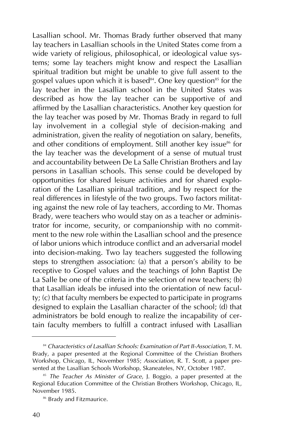Lasallian school. Mr. Thomas Brady further observed that many lay teachers in Lasallian schools in the United States come from a wide variety of religious, philosophical, or ideological value systems; some lay teachers might know and respect the Lasallian spiritual tradition but might be unable to give full assent to the gospel values upon which it is based<sup>84</sup>. One key question<sup>85</sup> for the lay teacher in the Lasallian school in the United States was described as how the lay teacher can be supportive of and affirmed by the Lasallian characteristics. Another key question for the lay teacher was posed by Mr. Thomas Brady in regard to full lay involvement in a collegial style of decision-making and administration, given the reality of negotiation on salary, benefits, and other conditions of employment. Still another key issue<sup>86</sup> for the lay teacher was the development of a sense of mutual trust and accountability between De La Salle Christian Brothers and lay persons in Lasallian schools. This sense could be developed by opportunities for shared leisure activities and for shared exploration of the Lasallian spiritual tradition, and by respect for the real differences in lifestyle of the two groups. Two factors militating against the new role of lay teachers, according to Mr. Thomas Brady, were teachers who would stay on as a teacher or administrator for income, security, or companionship with no commitment to the new role within the Lasallian school and the presence of labor unions which introduce conflict and an adversarial model into decision-making. Two lay teachers suggested the following steps to strengthen association: (a) that a person's ability to be receptive to Gospel values and the teachings of John Baptist De La Salle be one of the criteria in the selection of new teachers: (b) that Lasallian ideals be infused into the orientation of new faculty; (c) that faculty members be expected to participate in programs designed to explain the Lasallian character of the school; (d) that administrators be bold enough to realize the incapability of certain faculty members to fulfill a contract infused with Lasallian

<sup>84</sup> *Characteristics of Lasallian Schools: Examination of Part II-Association*, T. M. Brady, a paper presented at the Regional Committee of the Christian Brothers Workshop, Chicago, IL, November 1985; *Association*, R. T. Scott, a paper presented at the Lasallian Schools Workshop, Skaneateles, NY, October 1987.

<sup>85</sup> *The Teacher As Minister of Grace*, J. Boggio, a paper presented at the Regional Education Committee of the Christian Brothers Workshop, Chicago, IL, November 1985.

<sup>86</sup> Brady and Fitzmaurice.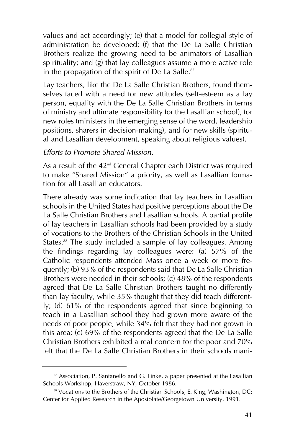values and act accordingly; (e) that a model for collegial style of administration be developed; (f) that the De La Salle Christian Brothers realize the growing need to be animators of Lasallian spirituality; and (g) that lay colleagues assume a more active role in the propagation of the spirit of De La Salle. $87$ 

Lay teachers, like the De La Salle Christian Brothers, found themselves faced with a need for new attitudes (self-esteem as a lay person, equality with the De La Salle Christian Brothers in terms of ministry and ultimate responsibility for the Lasallian school), for new roles (ministers in the emerging sense of the word, leadership positions, sharers in decision-making), and for new skills (spiritual and Lasallian development, speaking about religious values).

#### *Efforts to Promote Shared Mission.*

As a result of the 42<sup>nd</sup> General Chapter each District was required to make "Shared Mission" a priority, as well as Lasallian formation for all Lasallian educators.

There already was some indication that lay teachers in Lasallian schools in the United States had positive perceptions about the De La Salle Christian Brothers and Lasallian schools. A partial profile of lay teachers in Lasallian schools had been provided by a study of vocations to the Brothers of the Christian Schools in the United States.<sup>88</sup> The study included a sample of lay colleagues. Among the findings regarding lay colleagues were: (a) 57% of the Catholic respondents attended Mass once a week or more frequently; (b) 93% of the respondents said that De La Salle Christian Brothers were needed in their schools; (c) 48% of the respondents agreed that De La Salle Christian Brothers taught no differently than lay faculty, while 35% thought that they did teach differently; (d) 61% of the respondents agreed that since beginning to teach in a Lasallian school they had grown more aware of the needs of poor people, while 34% felt that they had not grown in this area; (e) 69% of the respondents agreed that the De La Salle Christian Brothers exhibited a real concern for the poor and 70% felt that the De La Salle Christian Brothers in their schools mani-

<sup>&</sup>lt;sup>87</sup> Association, P. Santanello and G. Linke, a paper presented at the Lasallian Schools Workshop, Haverstraw, NY, October 1986.

<sup>88</sup> Vocations to the Brothers of the Christian Schools, E. King, Washington, DC: Center for Applied Research in the Apostolate/Georgetown University, 1991.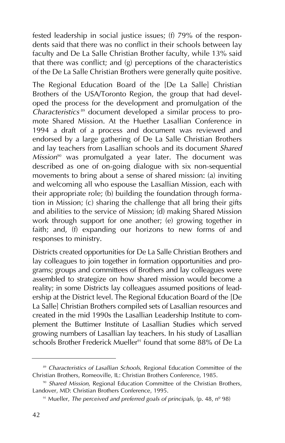fested leadership in social justice issues; (f) 79% of the respondents said that there was no conflict in their schools between lay faculty and De La Salle Christian Brother faculty, while 13% said that there was conflict; and (g) perceptions of the characteristics of the De La Salle Christian Brothers were generally quite positive.

The Regional Education Board of the [De La Salle] Christian Brothers of the USA/Toronto Region, the group that had developed the process for the development and promulgation of the *Characteristics* <sup>89</sup> document developed a similar process to promote Shared Mission. At the Huether Lasallian Conference in 1994 a draft of a process and document was reviewed and endorsed by a large gathering of De La Salle Christian Brothers and lay teachers from Lasallian schools and its document *Shared Mission*<sup>90</sup> was promulgated a year later. The document was described as one of on-going dialogue with six non-sequential movements to bring about a sense of shared mission: (a) inviting and welcoming all who espouse the Lasallian Mission, each with their appropriate role; (b) building the foundation through formation in Mission; (c) sharing the challenge that all bring their gifts and abilities to the service of Mission; (d) making Shared Mission work through support for one another; (e) growing together in faith; and, (f) expanding our horizons to new forms of and responses to ministry.

Districts created opportunities for De La Salle Christian Brothers and lay colleagues to join together in formation opportunities and programs; groups and committees of Brothers and lay colleagues were assembled to strategize on how shared mission would become a reality; in some Districts lay colleagues assumed positions of leadership at the District level. The Regional Education Board of the [De La Salle] Christian Brothers compiled sets of Lasallian resources and created in the mid 1990s the Lasallian Leadership Institute to complement the Buttimer Institute of Lasallian Studies which served growing numbers of Lasallian lay teachers. In his study of Lasallian schools Brother Frederick Mueller<sup>91</sup> found that some  $88\%$  of De La

<sup>&</sup>lt;sup>89</sup> Characteristics of Lasallian Schools, Regional Education Committee of the Christian Brothers, Romeoville, IL: Christian Brothers Conference, 1985.

<sup>90</sup> *Shared Mission*, Regional Education Committee of the Christian Brothers, Landover, MD: Christian Brothers Conference, 1995.

<sup>91</sup> Mueller, *The perceived and preferred goals of principals,* (p. 48, nº 98)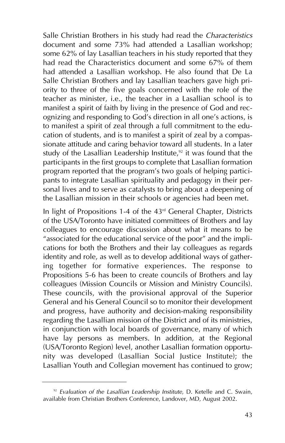Salle Christian Brothers in his study had read the *Characteristics* document and some 73% had attended a Lasallian workshop; some 62% of lay Lasallian teachers in his study reported that they had read the Characteristics document and some 67% of them had attended a Lasallian workshop. He also found that De La Salle Christian Brothers and lay Lasallian teachers gave high priority to three of the five goals concerned with the role of the teacher as minister, i.e., the teacher in a Lasallian school is to manifest a spirit of faith by living in the presence of God and recognizing and responding to God's direction in all one's actions, is to manifest a spirit of zeal through a full commitment to the education of students, and is to manifest a spirit of zeal by a compassionate attitude and caring behavior toward all students. In a later study of the Lasallian Leadership Institute,<sup>92</sup> it was found that the participants in the first groups to complete that Lasallian formation program reported that the program's two goals of helping participants to integrate Lasallian spirituality and pedagogy in their personal lives and to serve as catalysts to bring about a deepening of the Lasallian mission in their schools or agencies had been met.

In light of Propositions 1-4 of the 43<sup>rd</sup> General Chapter, Districts of the USA/Toronto have initiated committees of Brothers and lay colleagues to encourage discussion about what it means to be "associated for the educational service of the poor" and the implications for both the Brothers and their lay colleagues as regards identity and role, as well as to develop additional ways of gathering together for formative experiences. The response to Propositions 5-6 has been to create councils of Brothers and lay colleagues (Mission Councils or Mission and Ministry Councils). These councils, with the provisional approval of the Superior General and his General Council so to monitor their development and progress, have authority and decision-making responsibility regarding the Lasallian mission of the District and of its ministries, in conjunction with local boards of governance, many of which have lay persons as members. In addition, at the Regional (USA/Toronto Region) level, another Lasallian formation opportunity was developed (Lasallian Social Justice Institute); the Lasallian Youth and Collegian movement has continued to grow;

<sup>92</sup> *Evaluation of the Lasallian Leadership Institute*, D. Ketelle and C. Swain, available from Christian Brothers Conference, Landover, MD, August 2002.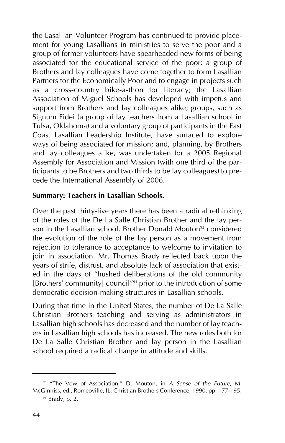the Lasallian Volunteer Program has continued to provide placement for young Lasallians in ministries to serve the poor and a group of former volunteers have spearheaded new forms of being associated for the educational service of the poor; a group of Brothers and lay colleagues have come together to form Lasallian Partners for the Economically Poor and to engage in projects such as a cross-country bike-a-thon for literacy; the Lasallian Association of Miguel Schools has developed with impetus and support from Brothers and lay colleagues alike; groups, such as Signum Fidei (a group of lay teachers from a Lasallian school in Tulsa, Oklahoma) and a voluntary group of participants in the East Coast Lasallian Leadership Institute, have surfaced to explore ways of being associated for mission; and, planning, by Brothers and lay colleagues alike, was undertaken for a 2005 Regional Assembly for Association and Mission (with one third of the participants to be Brothers and two thirds to be lay colleagues) to precede the International Assembly of 2006.

#### **Summary: Teachers in Lasallian Schools.**

Over the past thirty-five years there has been a radical rethinking of the roles of the De La Salle Christian Brother and the lay person in the Lasallian school. Brother Donald Mouton<sup>93</sup> considered the evolution of the role of the lay person as a movement from rejection to tolerance to acceptance to welcome to invitation to join in association. Mr. Thomas Brady reflected back upon the years of strife, distrust, and absolute lack of association that existed in the days of "hushed deliberations of the old community [Brothers' community] council<sup>"94</sup> prior to the introduction of some democratic decision-making structures in Lasallian schools.

During that time in the United States, the number of De La Salle Christian Brothers teaching and serving as administrators in Lasallian high schools has decreased and the number of lay teachers in Lasallian high schools has increased. The new roles both for De La Salle Christian Brother and lay person in the Lasallian school required a radical change in attitude and skills.

<sup>93</sup> "The Vow of Association," D. Mouton, in *A Sense of the Future*, M. McGinniss, ed., Romeoville, IL: Christian Brothers Conference, 1990, pp. 177-195.

 $94$  Brady, p. 2.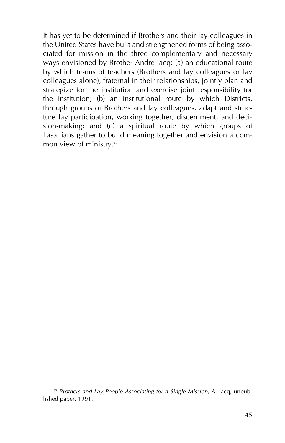It has yet to be determined if Brothers and their lay colleagues in the United States have built and strengthened forms of being associated for mission in the three complementary and necessary ways envisioned by Brother Andre Jacq: (a) an educational route by which teams of teachers (Brothers and lay colleagues or lay colleagues alone), fraternal in their relationships, jointly plan and strategize for the institution and exercise joint responsibility for the institution; (b) an institutional route by which Districts, through groups of Brothers and lay colleagues, adapt and structure lay participation, working together, discernment, and decision-making; and (c) a spiritual route by which groups of Lasallians gather to build meaning together and envision a common view of ministry.<sup>95</sup>

<sup>95</sup> *Brothers and Lay People Associating for a Single Mission*, A. Jacq, unpublished paper, 1991.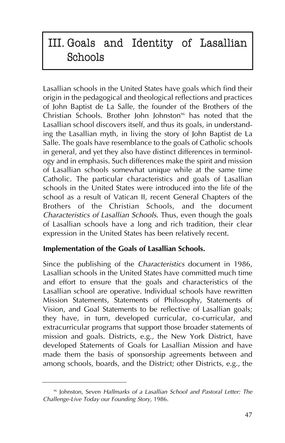# III. Goals and Identity of Lasallian Schools

Lasallian schools in the United States have goals which find their origin in the pedagogical and theological reflections and practices of John Baptist de La Salle, the founder of the Brothers of the Christian Schools. Brother John Johnston<sup>96</sup> has noted that the Lasallian school discovers itself, and thus its goals, in understanding the Lasallian myth, in living the story of John Baptist de La Salle. The goals have resemblance to the goals of Catholic schools in general, and yet they also have distinct differences in terminology and in emphasis. Such differences make the spirit and mission of Lasallian schools somewhat unique while at the same time Catholic. The particular characteristics and goals of Lasallian schools in the United States were introduced into the life of the school as a result of Vatican II, recent General Chapters of the Brothers of the Christian Schools, and the document *Characteristics of Lasallian Schools*. Thus, even though the goals of Lasallian schools have a long and rich tradition, their clear expression in the United States has been relatively recent.

## **Implementation of the Goals of Lasallian Schools.**

Since the publishing of the *Characteristics* document in 1986, Lasallian schools in the United States have committed much time and effort to ensure that the goals and characteristics of the Lasallian school are operative. Individual schools have rewritten Mission Statements, Statements of Philosophy, Statements of Vision, and Goal Statements to be reflective of Lasallian goals; they have, in turn, developed curricular, co-curricular, and extracurricular programs that support those broader statements of mission and goals. Districts, e.g., the New York District, have developed Statements of Goals for Lasallian Mission and have made them the basis of sponsorship agreements between and among schools, boards, and the District; other Districts, e.g., the

<sup>96</sup> Johnston, Seven *Hallmarks of a Lasallian School and Pastoral Letter: The Challenge-Live Today our Founding Story*, 1986.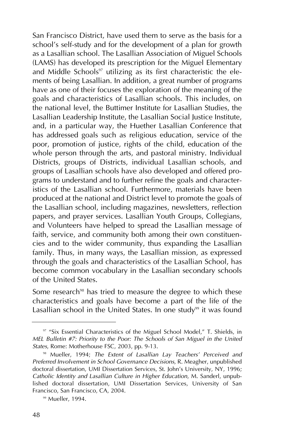San Francisco District, have used them to serve as the basis for a school's self-study and for the development of a plan for growth as a Lasallian school. The Lasallian Association of Miguel Schools (LAMS) has developed its prescription for the Miguel Elementary and Middle Schools<sup>97</sup> utilizing as its first characteristic the elements of being Lasallian. In addition, a great number of programs have as one of their focuses the exploration of the meaning of the goals and characteristics of Lasallian schools. This includes, on the national level, the Buttimer Institute for Lasallian Studies, the Lasallian Leadership Institute, the Lasallian Social Justice Institute, and, in a particular way, the Huether Lasallian Conference that has addressed goals such as religious education, service of the poor, promotion of justice, rights of the child, education of the whole person through the arts, and pastoral ministry. Individual Districts, groups of Districts, individual Lasallian schools, and groups of Lasallian schools have also developed and offered programs to understand and to further refine the goals and characteristics of the Lasallian school. Furthermore, materials have been produced at the national and District level to promote the goals of the Lasallian school, including magazines, newsletters, reflection papers, and prayer services. Lasallian Youth Groups, Collegians, and Volunteers have helped to spread the Lasallian message of faith, service, and community both among their own constituencies and to the wider community, thus expanding the Lasallian family. Thus, in many ways, the Lasallian mission, as expressed through the goals and characteristics of the Lasallian School, has become common vocabulary in the Lasallian secondary schools of the United States.

Some research<sup>98</sup> has tried to measure the degree to which these characteristics and goals have become a part of the life of the Lasallian school in the United States. In one study<sup>99</sup> it was found

<sup>&</sup>lt;sup>97</sup> "Six Essential Characteristics of the Miguel School Model," T. Shields, in *MEL Bulletin #7: Priority to the Poor: The Schools of San Miguel in the United States*, Rome: Motherhouse FSC, 2003, pp. 9-13.

<sup>98</sup> Mueller, 1994; *The Extent of Lasallian Lay Teachers' Perceived and Preferred Involvement in School Governance Decisions*, R. Meagher, unpublished doctoral dissertation, UMI Dissertation Services, St. John's University, NY, 1996; *Catholic Identity and Lasallian Culture in Higher Education*, M. Sanderl, unpublished doctoral dissertation, UMI Dissertation Services, University of San Francisco, San Francisco, CA, 2004.

<sup>&</sup>lt;sup>99</sup> Mueller, 1994.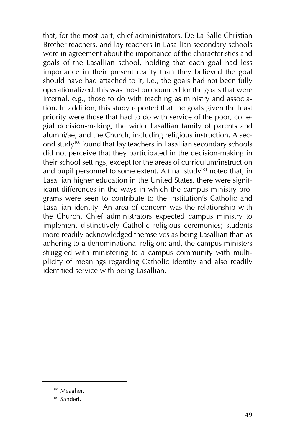that, for the most part, chief administrators, De La Salle Christian Brother teachers, and lay teachers in Lasallian secondary schools were in agreement about the importance of the characteristics and goals of the Lasallian school, holding that each goal had less importance in their present reality than they believed the goal should have had attached to it, i.e., the goals had not been fully operationalized; this was most pronounced for the goals that were internal, e.g., those to do with teaching as ministry and association. In addition, this study reported that the goals given the least priority were those that had to do with service of the poor, collegial decision-making, the wider Lasallian family of parents and alumni/ae, and the Church, including religious instruction. A second study100 found that lay teachers in Lasallian secondary schools did not perceive that they participated in the decision-making in their school settings, except for the areas of curriculum/instruction and pupil personnel to some extent. A final study<sup>101</sup> noted that, in Lasallian higher education in the United States, there were significant differences in the ways in which the campus ministry programs were seen to contribute to the institution's Catholic and Lasallian identity. An area of concern was the relationship with the Church. Chief administrators expected campus ministry to implement distinctively Catholic religious ceremonies; students more readily acknowledged themselves as being Lasallian than as adhering to a denominational religion; and, the campus ministers struggled with ministering to a campus community with multiplicity of meanings regarding Catholic identity and also readily identified service with being Lasallian.

<sup>&</sup>lt;sup>100</sup> Meagher.

<sup>&</sup>lt;sup>101</sup> Sanderl.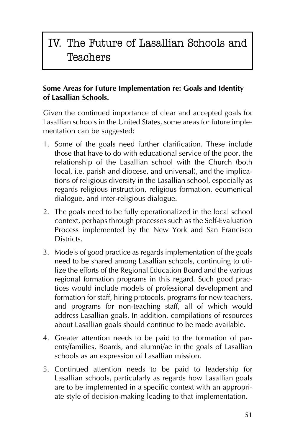# IV. The Future of Lasallian Schools and **Teachers**

### **Some Areas for Future Implementation re: Goals and Identity of Lasallian Schools.**

Given the continued importance of clear and accepted goals for Lasallian schools in the United States, some areas for future implementation can be suggested:

- 1. Some of the goals need further clarification. These include those that have to do with educational service of the poor, the relationship of the Lasallian school with the Church (both local, i.e. parish and diocese, and universal), and the implications of religious diversity in the Lasallian school, especially as regards religious instruction, religious formation, ecumenical dialogue, and inter-religious dialogue.
- 2. The goals need to be fully operationalized in the local school context, perhaps through processes such as the Self-Evaluation Process implemented by the New York and San Francisco Districts.
- 3. Models of good practice as regards implementation of the goals need to be shared among Lasallian schools, continuing to utilize the efforts of the Regional Education Board and the various regional formation programs in this regard. Such good practices would include models of professional development and formation for staff, hiring protocols, programs for new teachers, and programs for non-teaching staff, all of which would address Lasallian goals. In addition, compilations of resources about Lasallian goals should continue to be made available.
- 4. Greater attention needs to be paid to the formation of parents/families, Boards, and alumni/ae in the goals of Lasallian schools as an expression of Lasallian mission.
- 5. Continued attention needs to be paid to leadership for Lasallian schools, particularly as regards how Lasallian goals are to be implemented in a specific context with an appropriate style of decision-making leading to that implementation.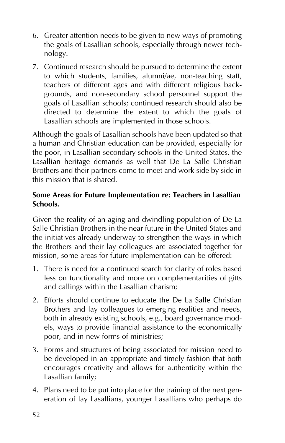- 6. Greater attention needs to be given to new ways of promoting the goals of Lasallian schools, especially through newer technology.
- 7. Continued research should be pursued to determine the extent to which students, families, alumni/ae, non-teaching staff, teachers of different ages and with different religious backgrounds, and non-secondary school personnel support the goals of Lasallian schools; continued research should also be directed to determine the extent to which the goals of Lasallian schools are implemented in those schools.

Although the goals of Lasallian schools have been updated so that a human and Christian education can be provided, especially for the poor, in Lasallian secondary schools in the United States, the Lasallian heritage demands as well that De La Salle Christian Brothers and their partners come to meet and work side by side in this mission that is shared.

### **Some Areas for Future Implementation re: Teachers in Lasallian Schools.**

Given the reality of an aging and dwindling population of De La Salle Christian Brothers in the near future in the United States and the initiatives already underway to strengthen the ways in which the Brothers and their lay colleagues are associated together for mission, some areas for future implementation can be offered:

- 1. There is need for a continued search for clarity of roles based less on functionality and more on complementarities of gifts and callings within the Lasallian charism;
- 2. Efforts should continue to educate the De La Salle Christian Brothers and lay colleagues to emerging realities and needs, both in already existing schools, e.g., board governance models, ways to provide financial assistance to the economically poor, and in new forms of ministries;
- 3. Forms and structures of being associated for mission need to be developed in an appropriate and timely fashion that both encourages creativity and allows for authenticity within the Lasallian family;
- 4. Plans need to be put into place for the training of the next generation of lay Lasallians, younger Lasallians who perhaps do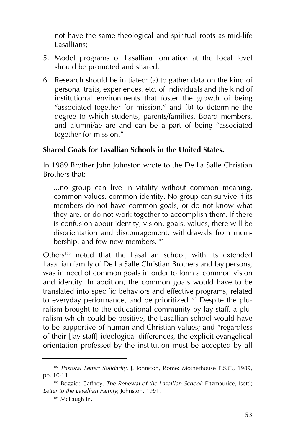not have the same theological and spiritual roots as mid-life Lasallians;

- 5. Model programs of Lasallian formation at the local level should be promoted and shared;
- 6. Research should be initiated: (a) to gather data on the kind of personal traits, experiences, etc. of individuals and the kind of institutional environments that foster the growth of being "associated together for mission," and (b) to determine the degree to which students, parents/families, Board members, and alumni/ae are and can be a part of being "associated together for mission."

#### **Shared Goals for Lasallian Schools in the United States.**

In 1989 Brother John Johnston wrote to the De La Salle Christian Brothers that:

...no group can live in vitality without common meaning, common values, common identity. No group can survive if its members do not have common goals, or do not know what they are, or do not work together to accomplish them. If there is confusion about identity, vision, goals, values, there will be disorientation and discouragement, withdrawals from membership, and few new members.<sup>102</sup>

Others<sup>103</sup> noted that the Lasallian school, with its extended Lasallian family of De La Salle Christian Brothers and lay persons, was in need of common goals in order to form a common vision and identity. In addition, the common goals would have to be translated into specific behaviors and effective programs, related to everyday performance, and be prioritized.<sup>104</sup> Despite the pluralism brought to the educational community by lay staff, a pluralism which could be positive, the Lasallian school would have to be supportive of human and Christian values; and "regardless of their [lay staff] ideological differences, the explicit evangelical orientation professed by the institution must be accepted by all

<sup>102</sup> *Pastoral Letter: Solidarity*, J. Johnston, Rome: Motherhouse F.S.C., 1989, pp. 10-11.

<sup>103</sup> Boggio; Gaffney, *The Renewal of the Lasallian School*; Fitzmaurice; Isetti; *Letter to the Lasallian Family*; Johnston, 1991.

<sup>&</sup>lt;sup>104</sup> McLaughlin.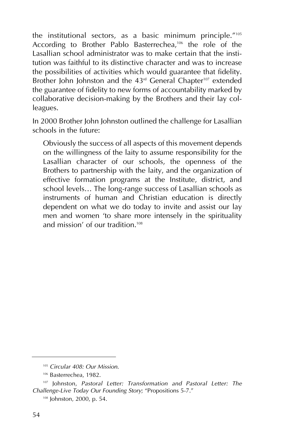the institutional sectors, as a basic minimum principle."105 According to Brother Pablo Basterrechea,<sup>106</sup> the role of the Lasallian school administrator was to make certain that the institution was faithful to its distinctive character and was to increase the possibilities of activities which would guarantee that fidelity. Brother John Johnston and the 43<sup>rd</sup> General Chapter<sup>107</sup> extended the guarantee of fidelity to new forms of accountability marked by collaborative decision-making by the Brothers and their lay colleagues.

In 2000 Brother John Johnston outlined the challenge for Lasallian schools in the future:

Obviously the success of all aspects of this movement depends on the willingness of the laity to assume responsibility for the Lasallian character of our schools, the openness of the Brothers to partnership with the laity, and the organization of effective formation programs at the Institute, district, and school levels… The long-range success of Lasallian schools as instruments of human and Christian education is directly dependent on what we do today to invite and assist our lay men and women 'to share more intensely in the spirituality and mission' of our tradition.<sup>108</sup>

<sup>105</sup> *Circular 408: Our Mission*.

<sup>106</sup> Basterrechea, 1982.

<sup>107</sup> Johnston, *Pastoral Letter: Transformation and Pastoral Letter: The Challenge-Live Today Our Founding Story*; "Propositions 5-7."

<sup>108</sup> Johnston, 2000, p. 54.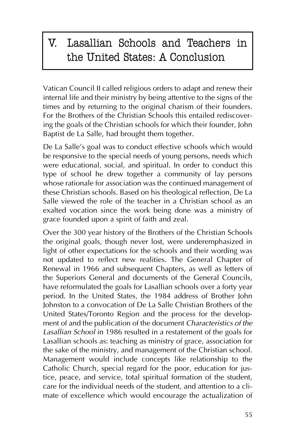# V. Lasallian Schools and Teachers in the United States: A Conclusion

Vatican Council II called religious orders to adapt and renew their internal life and their ministry by being attentive to the signs of the times and by returning to the original charism of their founders. For the Brothers of the Christian Schools this entailed rediscovering the goals of the Christian schools for which their founder, John Baptist de La Salle, had brought them together.

De La Salle's goal was to conduct effective schools which would be responsive to the special needs of young persons, needs which were educational, social, and spiritual. In order to conduct this type of school he drew together a community of lay persons whose rationale for association was the continued management of these Christian schools. Based on his theological reflection, De La Salle viewed the role of the teacher in a Christian school as an exalted vocation since the work being done was a ministry of grace founded upon a spirit of faith and zeal.

Over the 300 year history of the Brothers of the Christian Schools the original goals, though never lost, were underemphasized in light of other expectations for the schools and their wording was not updated to reflect new realities. The General Chapter of Renewal in 1966 and subsequent Chapters, as well as letters of the Superiors General and documents of the General Councils, have reformulated the goals for Lasallian schools over a forty year period. In the United States, the 1984 address of Brother John Johnston to a convocation of De La Salle Christian Brothers of the United States/Toronto Region and the process for the development of and the publication of the document *Characteristics of the Lasallian School* in 1986 resulted in a restatement of the goals for Lasallian schools as: teaching as ministry of grace, association for the sake of the ministry, and management of the Christian school. Management would include concepts like relationship to the Catholic Church, special regard for the poor, education for justice, peace, and service, total spiritual formation of the student, care for the individual needs of the student, and attention to a climate of excellence which would encourage the actualization of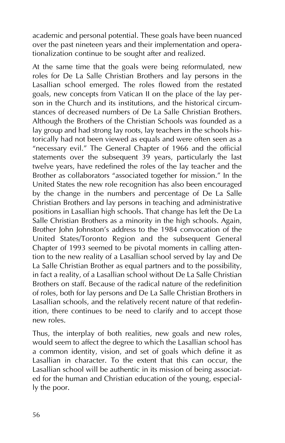academic and personal potential. These goals have been nuanced over the past nineteen years and their implementation and operationalization continue to be sought after and realized.

At the same time that the goals were being reformulated, new roles for De La Salle Christian Brothers and lay persons in the Lasallian school emerged. The roles flowed from the restated goals, new concepts from Vatican II on the place of the lay person in the Church and its institutions, and the historical circumstances of decreased numbers of De La Salle Christian Brothers. Although the Brothers of the Christian Schools was founded as a lay group and had strong lay roots, lay teachers in the schools historically had not been viewed as equals and were often seen as a "necessary evil." The General Chapter of 1966 and the official statements over the subsequent 39 years, particularly the last twelve years, have redefined the roles of the lay teacher and the Brother as collaborators "associated together for mission." In the United States the new role recognition has also been encouraged by the change in the numbers and percentage of De La Salle Christian Brothers and lay persons in teaching and administrative positions in Lasallian high schools. That change has left the De La Salle Christian Brothers as a minority in the high schools. Again, Brother John Johnston's address to the 1984 convocation of the United States/Toronto Region and the subsequent General Chapter of 1993 seemed to be pivotal moments in calling attention to the new reality of a Lasallian school served by lay and De La Salle Christian Brother as equal partners and to the possibility, in fact a reality, of a Lasallian school without De La Salle Christian Brothers on staff. Because of the radical nature of the redefinition of roles, both for lay persons and De La Salle Christian Brothers in Lasallian schools, and the relatively recent nature of that redefinition, there continues to be need to clarify and to accept those new roles.

Thus, the interplay of both realities, new goals and new roles, would seem to affect the degree to which the Lasallian school has a common identity, vision, and set of goals which define it as Lasallian in character. To the extent that this can occur, the Lasallian school will be authentic in its mission of being associated for the human and Christian education of the young, especially the poor.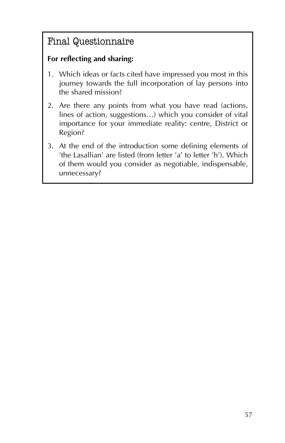# Final Questionnaire

# **For reflecting and sharing:**

- 1. Which ideas or facts cited have impressed you most in this journey towards the full incorporation of lay persons into the shared mission?
- 2. Are there any points from what you have read (actions, lines of action, suggestions…) which you consider of vital importance for your immediate reality: centre, District or Region?
- 3. At the end of the introduction some defining elements of 'the Lasallian' are listed (from letter 'a' to letter 'h'). Which of them would you consider as negotiable, indispensable, unnecessary?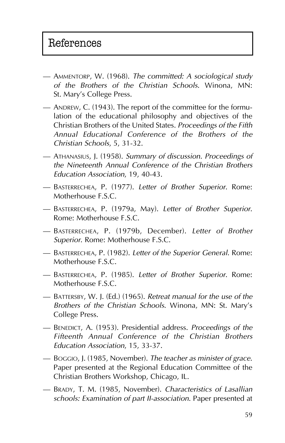- AMMENTORP, W. (1968). *The committed: A sociological study of the Brothers of the Christian Schools*. Winona, MN: St. Mary's College Press.
- ANDREW, C. (1943). The report of the committee for the formulation of the educational philosophy and objectives of the Christian Brothers of the United States. *Proceedings of the Fifth Annual Educational Conference of the Brothers of the Christian Schools*, 5, 31-32.
- ATHANASIUS, J. (1958). *Summary of discussion. Proceedings of the Nineteenth Annual Conference of the Christian Brothers Education Association*, 19, 40-43.
- BASTERRECHEA, P. (1977). *Letter of Brother Superior*. Rome: Motherhouse F.S.C.
- BASTERRECHEA, P. (1979a, May). *Letter of Brother Superior*. Rome: Motherhouse F.S.C.
- BASTERRECHEA, P. (1979b, December). *Letter of Brother Superior*. Rome: Motherhouse F.S.C.
- BASTERRECHEA, P. (1982). *Letter of the Superior General*. Rome: Motherhouse F.S.C.
- BASTERRECHEA, P. (1985). *Letter of Brother Superior*. Rome: Motherhouse F.S.C.
- BATTERSBY, W. J. (Ed.) (1965). *Retreat manual for the use of the Brothers of the Christian Schools*. Winona, MN: St. Mary's College Press.
- BENEDICT, A. (1953). Presidential address. *Proceedings of the Fifteenth Annual Conference of the Christian Brothers Education Association*, 15, 33-37.
- BOGGIO, J. (1985, November). *The teacher as minister of grace*. Paper presented at the Regional Education Committee of the Christian Brothers Workshop, Chicago, IL.
- BRADY, T. M. (1985, November). *Characteristics of Lasallian schools: Examination of part II-association*. Paper presented at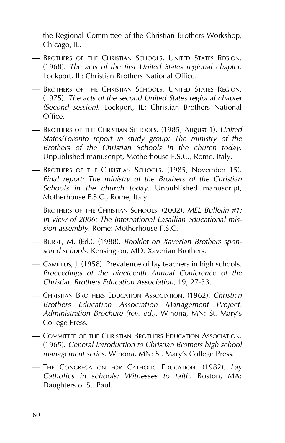the Regional Committee of the Christian Brothers Workshop, Chicago, IL.

- BROTHERS OF THE CHRISTIAN SCHOOLS, UNITED STATES REGION. (1968). *The acts of the first United States regional chapter*. Lockport, IL: Christian Brothers National Office.
- BROTHERS OF THE CHRISTIAN SCHOOLS, UNITED STATES REGION. (1975). *The acts of the second United States regional chapter (Second session)*. Lockport, IL: Christian Brothers National Office.
- BROTHERS OF THE CHRISTIAN SCHOOLS. (1985, August 1). *United States/Toronto report in study group: The ministry of the Brothers of the Christian Schools in the church today*. Unpublished manuscript, Motherhouse F.S.C., Rome, Italy.
- BROTHERS OF THE CHRISTIAN SCHOOLS. (1985, November 15). *Final report: The ministry of the Brothers of the Christian Schools in the church today*. Unpublished manuscript, Motherhouse F.S.C., Rome, Italy.
- BROTHERS OF THE CHRISTIAN SCHOOLS. (2002). *MEL Bulletin #1: In view of 2006: The International Lasallian educational mission assembly*. Rome: Motherhouse F.S.C.
- BURKE, M. (Ed.). (1988). *Booklet on Xaverian Brothers sponsored schools*. Kensington, MD: Xaverian Brothers.
- CAMILLUS, J. (1958). Prevalence of lay teachers in high schools. *Proceedings of the nineteenth Annual Conference of the Christian Brothers Education Association*, 19, 27-33.
- CHRISTIAN BROTHERS EDUCATION ASSOCIATION. (1962). *Christian Brothers Education Association Management Project, Administration Brochure (rev. ed.)*. Winona, MN: St. Mary's College Press.
- COMMITTEE OF THE CHRISTIAN BROTHERS EDUCATION ASSOCIATION. (1965). *General Introduction to Christian Brothers high school management series*. Winona, MN: St. Mary's College Press.
- THE CONGREGATION FOR CATHOLIC EDUCATION. (1982). *Lay Catholics in schools: Witnesses to faith*. Boston, MA: Daughters of St. Paul.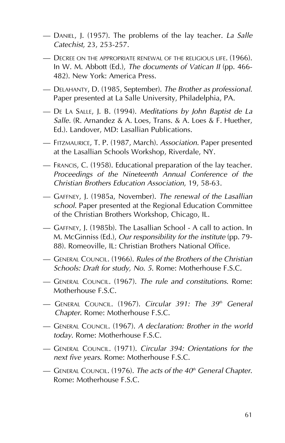- DANIEL, J. (1957). The problems of the lay teacher. *La Salle Catechist*, 23, 253-257.
- DECREE ON THE APPROPRIATE RENEWAL OF THE RELIGIOUS LIFE. (1966). In W. M. Abbott (Ed.), *The documents of Vatican II* (pp. 466- 482). New York: America Press.
- DELAHANTY, D. (1985, September). *The Brother as professional*. Paper presented at La Salle University, Philadelphia, PA.
- DE LA SALLE, J. B. (1994). *Meditations by John Baptist de La Salle.* (R. Arnandez & A. Loes, Trans. & A. Loes & F. Huether, Ed.). Landover, MD: Lasallian Publications.
- FITZMAURICE, T. P. (1987, March). *Association*. Paper presented at the Lasallian Schools Workshop, Riverdale, NY.
- FRANCIS, C. (1958). Educational preparation of the lay teacher. *Proceedings of the Nineteenth Annual Conference of the Christian Brothers Education Association*, 19, 58-63.
- GAFFNEY, J. (1985a, November). *The renewal of the Lasallian school*. Paper presented at the Regional Education Committee of the Christian Brothers Workshop, Chicago, IL.
- GAFFNEY, J. (1985b). The Lasallian School A call to action. In M. McGinniss (Ed.), *Our responsibility for the institute* (pp. 79- 88). Romeoville, IL: Christian Brothers National Office.
- GENERAL COUNCIL. (1966). *Rules of the Brothers of the Christian Schools: Draft for study, No. 5*. Rome: Motherhouse F.S.C.
- GENERAL COUNCIL. (1967). *The rule and constitutions*. Rome: Motherhouse F.S.C.
- GENERAL COUNCIL. (1967). *Circular 391: The 39th General Chapter*. Rome: Motherhouse F.S.C.
- GENERAL COUNCIL. (1967). *A declaration: Brother in the world today*. Rome: Motherhouse F.S.C.
- GENERAL COUNCIL. (1971). *Circular 394: Orientations for the next five years*. Rome: Motherhouse F.S.C.
- GENERAL COUNCIL. (1976). *The acts of the 40th General Chapter*. Rome: Motherhouse F.S.C.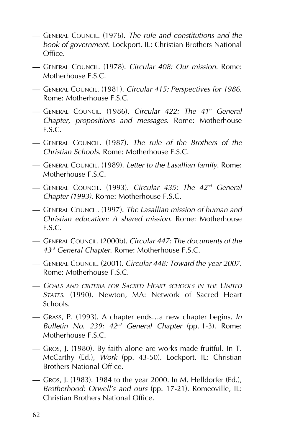- GENERAL COUNCIL. (1976). *The rule and constitutions and the book of government*. Lockport, IL: Christian Brothers National Office.
- GENERAL COUNCIL. (1978). *Circular 408: Our mission*. Rome: Motherhouse **F.S.C.**
- GENERAL COUNCIL. (1981). *Circular 415: Perspectives for 1986*. Rome: Motherhouse F.S.C.
- GENERAL COUNCIL. (1986). *Circular 422: The 41st General Chapter, propositions and messages*. Rome: Motherhouse F.S.C.
- GENERAL COUNCIL. (1987). *The rule of the Brothers of the Christian Schools*. Rome: Motherhouse F.S.C.
- GENERAL COUNCIL. (1989). *Letter to the Lasallian family*. Rome: Motherhouse F.S.C.
- GENERAL COUNCIL. (1993). *Circular 435: The 42nd General Chapter (1993)*. Rome: Motherhouse F.S.C.
- GENERAL COUNCIL. (1997). *The Lasallian mission of human and Christian education: A shared mission*. Rome: Motherhouse F.S.C.
- GENERAL COUNCIL. (2000b). *Circular 447: The documents of the 43rd General Chapter*. Rome: Motherhouse F.S.C.
- GENERAL COUNCIL. (2001). *Circular 448: Toward the year 2007*. Rome: Motherhouse F.S.C.
- *GOALS AND CRITERIA FOR SACRED HEART SCHOOLS IN THE UNITED STATES*. (1990). Newton, MA: Network of Sacred Heart Schools.
- GRASS, P. (1993). A chapter ends…a new chapter begins. *In Bulletin No. 239: 42nd General Chapter* (pp. 1-3). Rome: Motherhouse F.S.C.
- GROS, J. (1980). By faith alone are works made fruitful. In T. McCarthy (Ed.), *Work* (pp. 43-50). Lockport, IL: Christian Brothers National Office.
- GROS, J. (1983). 1984 to the year 2000. In M. Helldorfer (Ed.), *Brotherhood: Orwell's and ours* (pp. 17-21). Romeoville, IL: Christian Brothers National Office.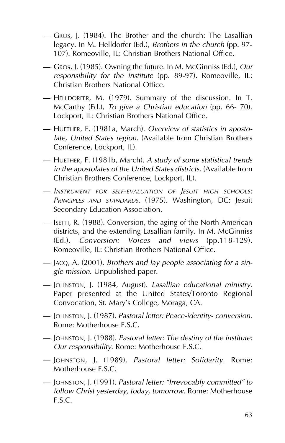- GROS, J. (1984). The Brother and the church: The Lasallian legacy. In M. Helldorfer (Ed.), *Brothers in the church* (pp. 97- 107). Romeoville, IL: Christian Brothers National Office.
- GROs, J. (1985). Owning the future. In M. McGinniss (Ed.), *Our responsibility for the institute* (pp. 89-97). Romeoville, IL: Christian Brothers National Office.
- HELLDORFER, M. (1979). Summary of the discussion. In T. McCarthy (Ed.), *To give a Christian education* (pp. 66- 70). Lockport, IL: Christian Brothers National Office.
- HUETHER, F. (1981a, March). *Overview of statistics in apostolate, United States region*. (Available from Christian Brothers Conference, Lockport, IL).
- HUETHER, F. (1981b, March). *A study of some statistical trends in the apostolates of the United States districts*. (Available from Christian Brothers Conference, Lockport, IL)*.*
- *INSTRUMENT FOR SELF-EVALUATION OF JESUIT HIGH SCHOOLS: PRINCIPLES AND STANDARDS*. (1975). Washington, DC: Jesuit Secondary Education Association.
- ISETTI, R. (1988). Conversion, the aging of the North American districts, and the extending Lasallian family. In M. McGinniss (Ed.), *Conversion: Voices and views* (pp.118-129). Romeoville, IL: Christian Brothers National Office.
- JACQ, A. (2001). *Brothers and lay people associating for a single mission*. Unpublished paper.
- JOHNSTON, J. (1984, August). *Lasallian educational ministry*. Paper presented at the United States/Toronto Regional Convocation, St. Mary's College, Moraga, CA.
- JOHNSTON, J. (1987). *Pastoral letter: Peace-identity- conversion*. Rome: Motherhouse F.S.C.
- JOHNSTON, J. (1988). *Pastoral letter: The destiny of the institute: Our responsibility*. Rome: Motherhouse F.S.C.
- JOHNSTON, J. (1989). *Pastoral letter: Solidarity*. Rome: Motherhouse F.S.C.
- JOHNSTON, J. (1991). *Pastoral letter: "Irrevocably committed" to follow Christ yesterday, today, tomorrow*. Rome: Motherhouse F.S.C.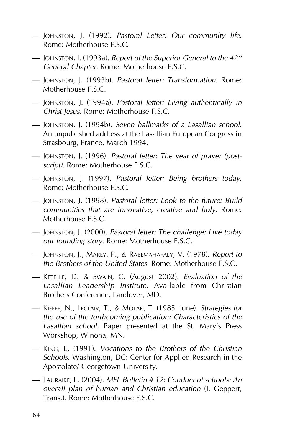- JOHNSTON, J. (1992). *Pastoral Letter: Our community life*. Rome: Motherhouse F.S.C.
- JOHNSTON, J. (1993a). *Report of the Superior General to the 42nd General Chapter*. Rome: Motherhouse F.S.C.
- JOHNSTON, J. (1993b). *Pastoral letter: Transformation*. Rome: Motherhouse F.S.C.
- JOHNSTON, J. (1994a). *Pastoral letter: Living authentically in Christ Jesus*. Rome: Motherhouse F.S.C.
- JOHNSTON, J. (1994b). *Seven hallmarks of a Lasallian school*. An unpublished address at the Lasallian European Congress in Strasbourg, France, March 1994.
- JOHNSTON, J. (1996). *Pastoral letter: The year of prayer (postscript)*. Rome: Motherhouse F.S.C.
- JOHNSTON, J. (1997). *Pastoral letter: Being brothers today*. Rome: Motherhouse F.S.C.
- JOHNSTON, J. (1998). *Pastoral letter: Look to the future: Build communities that are innovative, creative and holy*. Rome: Motherhouse F.S.C.
- JOHNSTON, J. (2000). *Pastoral letter: The challenge: Live today our founding story*. Rome: Motherhouse F.S.C.
- JOHNSTON, J., MAREY, P., & RABEMAHAFALY, V. (1978). *Report to the Brothers of the United States*. Rome: Motherhouse F.S.C.
- KETELLE, D. & SWAIN, C. (August 2002). *Evaluation of the Lasallian Leadership Institute*. Available from Christian Brothers Conference, Landover, MD.
- KIEFFE, N., LECLAIR, T., & MOLAK, T. (1985, June). *Strategies for the use of the forthcoming publication: Characteristics of the Lasallian school*. Paper presented at the St. Mary's Press Workshop, Winona, MN.
- KING, E. (1991). *Vocations to the Brothers of the Christian Schools*. Washington, DC: Center for Applied Research in the Apostolate/ Georgetown University.
- LAURAIRE, L. (2004). *MEL Bulletin # 12: Conduct of schools: An overall plan of human and Christian education* (J. Geppert, Trans.). Rome: Motherhouse F.S.C.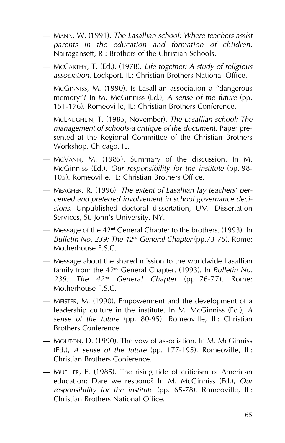- MANN, W. (1991). *The Lasallian school: Where teachers assist parents in the education and formation of children*. Narragansett, RI: Brothers of the Christian Schools.
- MCCARTHY, T. (Ed.). (1978). *Life together: A study of religious association*. Lockport, IL: Christian Brothers National Office.
- MCGINNISS, M. (1990). Is Lasallian association a "dangerous memory"? In M. McGinniss (Ed.), *A sense of the future* (pp. 151-176). Romeoville, IL: Christian Brothers Conference.
- MCLAUGHLIN, T. (1985, November). *The Lasallian school: The management of schools-a critique of the document*. Paper presented at the Regional Committee of the Christian Brothers Workshop, Chicago, IL.
- MCVANN, M. (1985). Summary of the discussion. In M. McGinniss (Ed.), *Our responsibility for the institute* (pp. 98- 105). Romeoville, IL: Christian Brothers Office.
- MEAGHER, R. (1996). *The extent of Lasallian lay teachers' perceived and preferred involvement in school governance decisions*. Unpublished doctoral dissertation, UMI Dissertation Services, St. John's University, NY.
- Message of the  $42<sup>nd</sup>$  General Chapter to the brothers. (1993). In *Bulletin No. 239: The 42nd General Chapter* (pp.73-75). Rome: Motherhouse **F.S.C.**
- Message about the shared mission to the worldwide Lasallian family from the 42nd General Chapter. (1993). In *Bulletin No. 239: The 42nd General Chapter* (pp. 76-77). Rome: Motherhouse F.S.C.
- MEISTER, M. (1990). Empowerment and the development of a leadership culture in the institute. In M. McGinniss (Ed.), *A sense of the future* (pp. 80-95). Romeoville, IL: Christian Brothers Conference.
- MOUTON, D. (1990). The vow of association. In M. McGinniss (Ed.), *A sense of the future* (pp. 177-195). Romeoville, IL: Christian Brothers Conference.
- MUELLER, F. (1985). The rising tide of criticism of American education: Dare we respond? In M. McGinniss (Ed.), *Our responsibility for the institute* (pp. 65-78). Romeoville, IL: Christian Brothers National Office.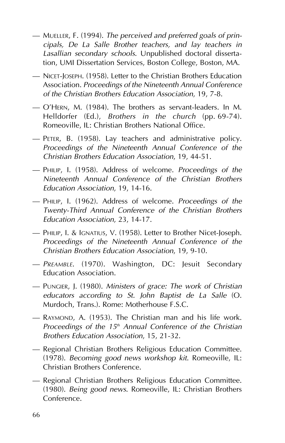- MUELLER, F. (1994). *The perceived and preferred goals of principals, De La Salle Brother teachers, and lay teachers in Lasallian secondary schools*. Unpublished doctoral dissertation, UMI Dissertation Services, Boston College, Boston, MA.
- NICET-JOSEPH. (1958). Letter to the Christian Brothers Education Association. *Proceedings of the Nineteenth Annual Conference of the Christian Brothers Education Association*, 19, 7-8.
- O'HERN, M. (1984). The brothers as servant-leaders. In M. Helldorfer (Ed.), *Brothers in the church* (pp. 69-74). Romeoville, IL: Christian Brothers National Office.
- PETER, B. (1958). Lay teachers and administrative policy. *Proceedings of the Nineteenth Annual Conference of the Christian Brothers Education Association*, 19, 44-51.
- PHILIP, I. (1958). Address of welcome. *Proceedings of the Nineteenth Annual Conference of the Christian Brothers Education Association*, 19, 14-16.
- PHILIP, I. (1962). Address of welcome. *Proceedings of the Twenty-Third Annual Conference of the Christian Brothers Education Association*, 23, 14-17.
- PHILIP, I. & IGNATIUS, V. (1958). Letter to Brother Nicet-Joseph. *Proceedings of the Nineteenth Annual Conference of the Christian Brothers Education Association*, 19, 9-10.
- *PREAMBLE*. (1970). Washington, DC: Jesuit Secondary Education Association.
- PUNGIER, J. (1980). *Ministers of grace: The work of Christian educators according to St. John Baptist de La Salle* (O. Murdoch, Trans.). Rome: Motherhouse F.S.C.
- RAYMOND, A. (1953). The Christian man and his life work. *Proceedings of the 15<sup>th</sup> Annual Conference of the Christian Brothers Education Association*, 15, 21-32.
- Regional Christian Brothers Religious Education Committee. (1978). *Becoming good news workshop kit*. Romeoville, IL: Christian Brothers Conference.
- Regional Christian Brothers Religious Education Committee. (1980). *Being good news*. Romeoville, IL: Christian Brothers Conference.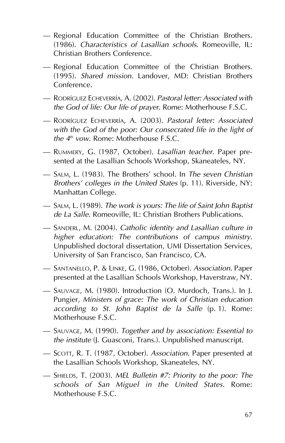- Regional Education Committee of the Christian Brothers. (1986). *Characteristics of Lasallian schools*. Romeoville, IL: Christian Brothers Conference.
- Regional Education Committee of the Christian Brothers. (1995). *Shared mission*. Landover, MD: Christian Brothers Conference.
- RODRÍGUEZ ECHEVERRÍA, A. (2002). *Pastoral letter: Associated with the God of life: Our life of prayer*. Rome: Motherhouse F.S.C.
- RODRÍGUEZ ECHEVERRÍA, A. (2003). *Pastoral letter: Associated with the God of the poor: Our consecrated life in the light of the 4th vow*. Rome: Motherhouse F.S.C.
- RUMMERY, G. (1987, October). *Lasallian teacher*. Paper presented at the Lasallian Schools Workshop, Skaneateles, NY.
- SALM, L. (1983). The Brothers' school. In *The seven Christian Brothers' colleges in the United States* (p. 11). Riverside, NY: Manhattan College.
- SALM, L. (1989). *The work is yours: The life of Saint John Baptist de La Salle*. Romeoville, IL: Christian Brothers Publications.
- SANDERL, M. (2004). *Catholic identity and Lasallian culture in higher education: The contributions of campus ministry*. Unpublished doctoral dissertation, UMI Dissertation Services, University of San Francisco, San Francisco, CA.
- SANTANELLO, P. & LINKE, G. (1986, October). *Association*. Paper presented at the Lasallian Schools Workshop, Haverstraw, NY.
- SAUVAGE, M. (1980). Introduction (O. Murdoch, Trans.). In J. Pungier, *Ministers of grace: The work of Christian education according to St. John Baptist de la Salle* (p. 1). Rome: Motherhouse F.S.C.
- SAUVAGE, M. (1990). *Together and by association: Essential to the institute* (J. Guasconi, Trans.). Unpublished manuscript.
- SCOTT, R. T. (1987, October). *Association*. Paper presented at the Lasallian Schools Workshop, Skaneateles, NY.
- SHIELDS, T. (2003). *MEL Bulletin #7: Priority to the poor: The schools of San Miguel in the United States*. Rome: Motherhouse F.S.C.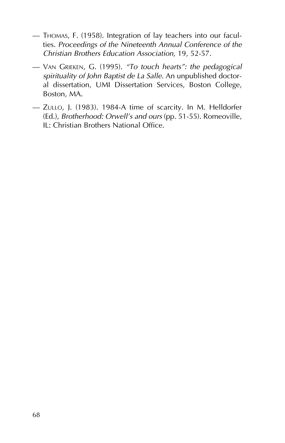- THOMAS, F. (1958). Integration of lay teachers into our faculties. *Proceedings of the Nineteenth Annual Conference of the Christian Brothers Education Association*, 19, 52-57.
- VAN GRIEKEN, G. (1995). *"To touch hearts": the pedagogical spirituality of John Baptist de La Salle*. An unpublished doctoral dissertation, UMI Dissertation Services, Boston College, Boston, MA.
- ZULLO, J. (1983). 1984-A time of scarcity. In M. Helldorfer (Ed.), *Brotherhood: Orwell's and ours* (pp. 51-55). Romeoville, IL: Christian Brothers National Office.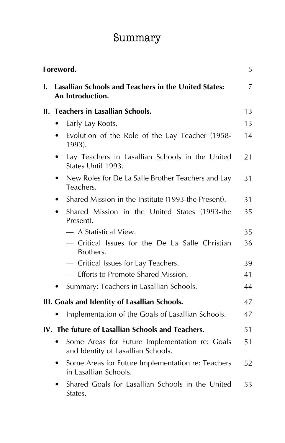# Summary

|    | Foreword.                                                                                         | 5  |
|----|---------------------------------------------------------------------------------------------------|----|
| I. | Lasallian Schools and Teachers in the United States:<br>An Introduction.                          | 7  |
|    | II. Teachers in Lasallian Schools.                                                                | 13 |
|    | Early Lay Roots.                                                                                  | 13 |
|    | Evolution of the Role of the Lay Teacher (1958-<br>٠<br>1993).                                    | 14 |
|    | Lay Teachers in Lasallian Schools in the United<br>$\bullet$<br>States Until 1993.                | 21 |
|    | New Roles for De La Salle Brother Teachers and Lay<br>$\bullet$<br>Teachers.                      | 31 |
|    | Shared Mission in the Institute (1993-the Present).<br>$\bullet$                                  | 31 |
|    | Shared Mission in the United States (1993-the<br>Present).                                        | 35 |
|    | — A Statistical View.                                                                             | 35 |
|    | - Critical Issues for the De La Salle Christian<br>Brothers.                                      | 36 |
|    | - Critical Issues for Lay Teachers.                                                               | 39 |
|    | - Efforts to Promote Shared Mission.                                                              | 41 |
|    | Summary: Teachers in Lasallian Schools.                                                           | 44 |
|    | III. Goals and Identity of Lasallian Schools.                                                     | 47 |
|    | Implementation of the Goals of Lasallian Schools.                                                 | 47 |
|    | IV. The future of Lasallian Schools and Teachers.                                                 | 51 |
|    | Some Areas for Future Implementation re: Goals<br>$\bullet$<br>and Identity of Lasallian Schools. | 51 |
|    | Some Areas for Future Implementation re: Teachers<br>in Lasallian Schools.                        | 52 |
|    | Shared Goals for Lasallian Schools in the United<br>States.                                       | 53 |